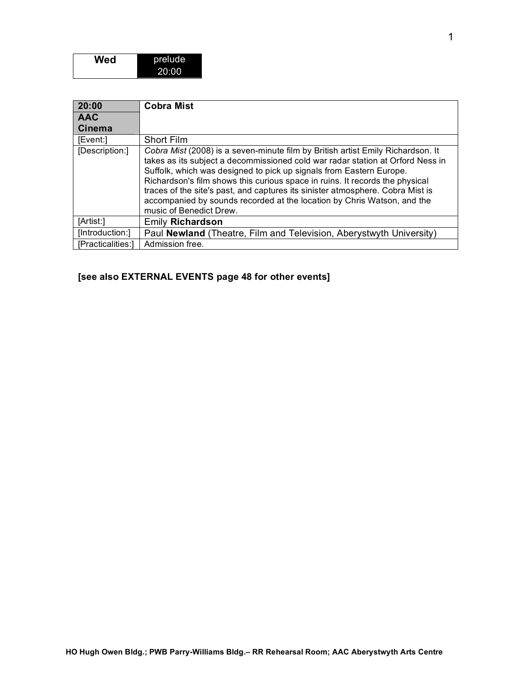| Wed | prelude |
|-----|---------|
|     | 20:00   |

| 20:00             | <b>Cobra Mist</b>                                                                                                                                                                                                                                                                                                                                                                                                                                                                                                |
|-------------------|------------------------------------------------------------------------------------------------------------------------------------------------------------------------------------------------------------------------------------------------------------------------------------------------------------------------------------------------------------------------------------------------------------------------------------------------------------------------------------------------------------------|
| <b>AAC</b>        |                                                                                                                                                                                                                                                                                                                                                                                                                                                                                                                  |
| <b>Cinema</b>     |                                                                                                                                                                                                                                                                                                                                                                                                                                                                                                                  |
| [Event:]          | <b>Short Film</b>                                                                                                                                                                                                                                                                                                                                                                                                                                                                                                |
| [Description:]    | Cobra Mist (2008) is a seven-minute film by British artist Emily Richardson. It<br>takes as its subject a decommissioned cold war radar station at Orford Ness in<br>Suffolk, which was designed to pick up signals from Eastern Europe.<br>Richardson's film shows this curious space in ruins. It records the physical<br>traces of the site's past, and captures its sinister atmosphere. Cobra Mist is<br>accompanied by sounds recorded at the location by Chris Watson, and the<br>music of Benedict Drew. |
| [Artist:]         | <b>Emily Richardson</b>                                                                                                                                                                                                                                                                                                                                                                                                                                                                                          |
| [Introduction:]   | Paul Newland (Theatre, Film and Television, Aberystwyth University)                                                                                                                                                                                                                                                                                                                                                                                                                                              |
| [Practicalities:] | Admission free.                                                                                                                                                                                                                                                                                                                                                                                                                                                                                                  |

#### **[see also EXTERNAL EVENTS page 48 for other events]**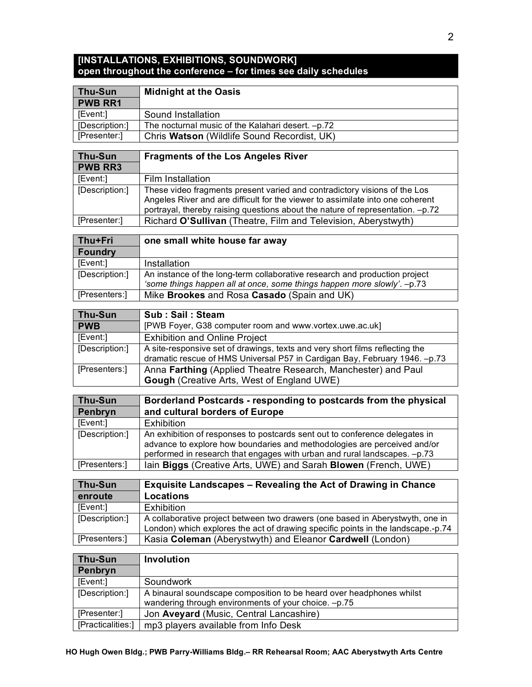#### **[INSTALLATIONS, EXHIBITIONS, SOUNDWORK] open throughout the conference – for times see daily schedules**

| Thu-Sun        | <b>Midnight at the Oasis</b>                      |  |
|----------------|---------------------------------------------------|--|
| <b>PWB RR1</b> |                                                   |  |
| [Event:]       | Sound Installation                                |  |
| [Description:] | The nocturnal music of the Kalahari desert. -p.72 |  |
| [Presenter:]   | Chris Watson (Wildlife Sound Recordist, UK)       |  |
|                |                                                   |  |

| Thu-Sun        | <b>Fragments of the Los Angeles River</b>                                                                                                                                                                                                     |  |  |
|----------------|-----------------------------------------------------------------------------------------------------------------------------------------------------------------------------------------------------------------------------------------------|--|--|
| <b>PWB RR3</b> |                                                                                                                                                                                                                                               |  |  |
| [Event:]       | Film Installation                                                                                                                                                                                                                             |  |  |
| [Description:] | These video fragments present varied and contradictory visions of the Los<br>Angeles River and are difficult for the viewer to assimilate into one coherent<br>portrayal, thereby raising questions about the nature of representation. -p.72 |  |  |
| [Presenter:]   | Richard O'Sullivan (Theatre, Film and Television, Aberystwyth)                                                                                                                                                                                |  |  |

| Thu+Fri        | one small white house far away                                             |  |  |
|----------------|----------------------------------------------------------------------------|--|--|
| Foundry        |                                                                            |  |  |
| [Event:]       | Installation                                                               |  |  |
| [Description:] | An instance of the long-term collaborative research and production project |  |  |
|                | 'some things happen all at once, some things happen more slowly'. -p.73    |  |  |
| [Presenters:]  | Mike Brookes and Rosa Casado (Spain and UK)                                |  |  |

| Thu-Sun        | Sub: Sail: Steam                                                             |  |
|----------------|------------------------------------------------------------------------------|--|
| <b>PWB</b>     | [PWB Foyer, G38 computer room and www.vortex.uwe.ac.uk]                      |  |
| [Event:]       | <b>Exhibition and Online Project</b>                                         |  |
| [Description:] | A site-responsive set of drawings, texts and very short films reflecting the |  |
|                | dramatic rescue of HMS Universal P57 in Cardigan Bay, February 1946. - p.73  |  |
| [Presenters:]  | Anna Farthing (Applied Theatre Research, Manchester) and Paul                |  |
|                | <b>Gough</b> (Creative Arts, West of England UWE)                            |  |

| Thu-Sun        | Borderland Postcards - responding to postcards from the physical                                                                                                                                                                     |  |  |
|----------------|--------------------------------------------------------------------------------------------------------------------------------------------------------------------------------------------------------------------------------------|--|--|
| Penbryn        | and cultural borders of Europe                                                                                                                                                                                                       |  |  |
| [Event:]       | <b>Exhibition</b>                                                                                                                                                                                                                    |  |  |
| [Description:] | An exhibition of responses to postcards sent out to conference delegates in<br>advance to explore how boundaries and methodologies are perceived and/or<br>performed in research that engages with urban and rural landscapes. -p.73 |  |  |
| [Presenters:]  | lain Biggs (Creative Arts, UWE) and Sarah Blowen (French, UWE)                                                                                                                                                                       |  |  |

| Thu-Sun        | <b>Exquisite Landscapes - Revealing the Act of Drawing in Chance</b>             |  |
|----------------|----------------------------------------------------------------------------------|--|
| enroute        | <b>Locations</b>                                                                 |  |
| [Event:]       | Exhibition                                                                       |  |
| [Description:] | A collaborative project between two drawers (one based in Aberystwyth, one in    |  |
|                | London) which explores the act of drawing specific points in the landscape.-p.74 |  |
| [Presenters:]  | Kasia Coleman (Aberystwyth) and Eleanor Cardwell (London)                        |  |

| <b>Thu-Sun</b>    | <b>Involution</b>                                                    |
|-------------------|----------------------------------------------------------------------|
| Penbryn           |                                                                      |
| [Event:]          | Soundwork                                                            |
| [Description:]    | A binaural soundscape composition to be heard over headphones whilst |
|                   | wandering through environments of your choice. -p.75                 |
| [Presenter:]      | Jon Aveyard (Music, Central Lancashire)                              |
| [Practicalities:] | mp3 players available from Info Desk                                 |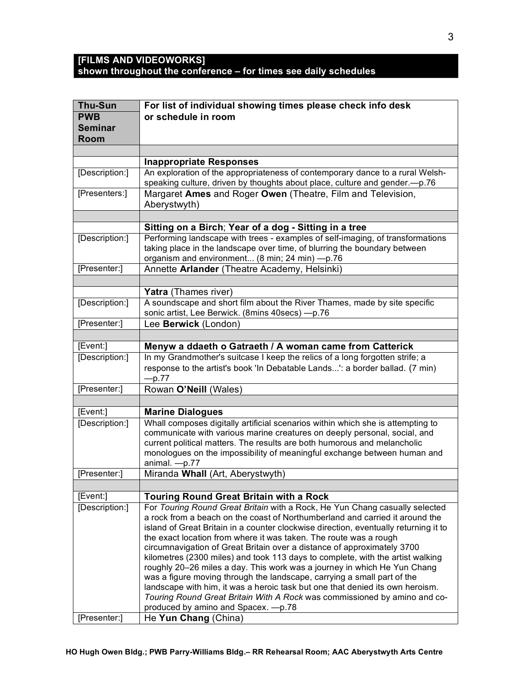#### **[FILMS AND VIDEOWORKS] shown throughout the conference – for times see daily schedules**

| <b>Thu-Sun</b> | For list of individual showing times please check info desk                                 |  |  |
|----------------|---------------------------------------------------------------------------------------------|--|--|
| <b>PWB</b>     | or schedule in room                                                                         |  |  |
| <b>Seminar</b> |                                                                                             |  |  |
| Room           |                                                                                             |  |  |
|                |                                                                                             |  |  |
|                | <b>Inappropriate Responses</b>                                                              |  |  |
| [Description:] | An exploration of the appropriateness of contemporary dance to a rural Welsh-               |  |  |
|                | speaking culture, driven by thoughts about place, culture and gender.-p.76                  |  |  |
| [Presenters:]  | Margaret Ames and Roger Owen (Theatre, Film and Television,                                 |  |  |
|                | Aberystwyth)                                                                                |  |  |
|                |                                                                                             |  |  |
|                | Sitting on a Birch; Year of a dog - Sitting in a tree                                       |  |  |
| [Description:] | Performing landscape with trees - examples of self-imaging, of transformations              |  |  |
|                | taking place in the landscape over time, of blurring the boundary between                   |  |  |
|                | organism and environment (8 min; 24 min) -p.76                                              |  |  |
| [Presenter:]   | Annette Arlander (Theatre Academy, Helsinki)                                                |  |  |
|                |                                                                                             |  |  |
|                | <b>Yatra</b> (Thames river)                                                                 |  |  |
| [Description:] | A soundscape and short film about the River Thames, made by site specific                   |  |  |
|                | sonic artist, Lee Berwick. (8mins 40secs) - p.76                                            |  |  |
| [Presenter:]   | Lee Berwick (London)                                                                        |  |  |
|                |                                                                                             |  |  |
| [Event:]       | Menyw a ddaeth o Gatraeth / A woman came from Catterick                                     |  |  |
| [Description:] | In my Grandmother's suitcase I keep the relics of a long forgotten strife; a                |  |  |
|                | response to the artist's book 'In Debatable Lands': a border ballad. (7 min)                |  |  |
|                | $-p.77$                                                                                     |  |  |
| [Presenter:]   | Rowan O'Neill (Wales)                                                                       |  |  |
|                |                                                                                             |  |  |
| [Event:]       | <b>Marine Dialogues</b>                                                                     |  |  |
| [Description:] | Whall composes digitally artificial scenarios within which she is attempting to             |  |  |
|                | communicate with various marine creatures on deeply personal, social, and                   |  |  |
|                | current political matters. The results are both humorous and melancholic                    |  |  |
|                | monologues on the impossibility of meaningful exchange between human and<br>animal. $-p.77$ |  |  |
| [Presenter:]   | Miranda Whall (Art, Aberystwyth)                                                            |  |  |
|                |                                                                                             |  |  |
| [Event:]       | <b>Touring Round Great Britain with a Rock</b>                                              |  |  |
| [Description:] | For Touring Round Great Britain with a Rock, He Yun Chang casually selected                 |  |  |
|                | a rock from a beach on the coast of Northumberland and carried it around the                |  |  |
|                | island of Great Britain in a counter clockwise direction, eventually returning it to        |  |  |
|                | the exact location from where it was taken. The route was a rough                           |  |  |
|                | circumnavigation of Great Britain over a distance of approximately 3700                     |  |  |
|                | kilometres (2300 miles) and took 113 days to complete, with the artist walking              |  |  |
|                | roughly 20-26 miles a day. This work was a journey in which He Yun Chang                    |  |  |
|                | was a figure moving through the landscape, carrying a small part of the                     |  |  |
|                | landscape with him, it was a heroic task but one that denied its own heroism.               |  |  |
|                | Touring Round Great Britain With A Rock was commissioned by amino and co-                   |  |  |
|                | produced by amino and Spacex. - p.78                                                        |  |  |
| [Presenter:]   | He Yun Chang (China)                                                                        |  |  |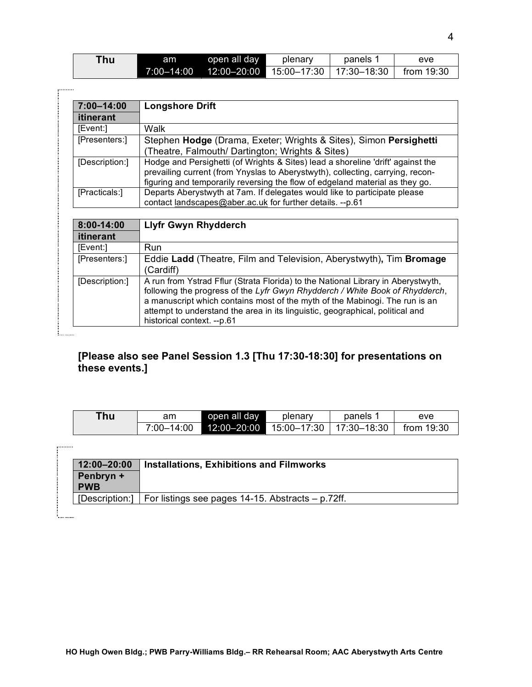| Thu | am | open all day                                      | plenary | panels 1 | eve                    |
|-----|----|---------------------------------------------------|---------|----------|------------------------|
|     |    | 7:00-14:00  12:00-20:00  15:00-17:30  17:30-18:30 |         |          | $\parallel$ from 19:30 |

. . . . . . . . .

 $\vdots$ 

| 7:00-14:00     | <b>Longshore Drift</b>                                                                                                                                                                                                                                                                                                                                         |  |  |
|----------------|----------------------------------------------------------------------------------------------------------------------------------------------------------------------------------------------------------------------------------------------------------------------------------------------------------------------------------------------------------------|--|--|
| itinerant      |                                                                                                                                                                                                                                                                                                                                                                |  |  |
| [Event:]       | Walk                                                                                                                                                                                                                                                                                                                                                           |  |  |
| [Presenters:]  | Stephen Hodge (Drama, Exeter; Wrights & Sites), Simon Persighetti<br>(Theatre, Falmouth/ Dartington; Wrights & Sites)                                                                                                                                                                                                                                          |  |  |
| [Description:] | Hodge and Persighetti (of Wrights & Sites) lead a shoreline 'drift' against the<br>prevailing current (from Ynyslas to Aberystwyth), collecting, carrying, recon-<br>figuring and temporarily reversing the flow of edgeland material as they go.                                                                                                              |  |  |
| [Practicals:]  | Departs Aberystwyth at 7am. If delegates would like to participate please<br>contact landscapes@aber.ac.uk for further details. --p.61                                                                                                                                                                                                                         |  |  |
|                |                                                                                                                                                                                                                                                                                                                                                                |  |  |
| 8:00-14:00     | <b>Llyfr Gwyn Rhydderch</b>                                                                                                                                                                                                                                                                                                                                    |  |  |
| itinerant      |                                                                                                                                                                                                                                                                                                                                                                |  |  |
| [Event:]       | <b>Run</b>                                                                                                                                                                                                                                                                                                                                                     |  |  |
| [Presenters:]  | Eddie Ladd (Theatre, Film and Television, Aberystwyth), Tim Bromage<br>(Cardiff)                                                                                                                                                                                                                                                                               |  |  |
| [Description:] | A run from Ystrad Fflur (Strata Florida) to the National Library in Aberystwyth,<br>following the progress of the Lyfr Gwyn Rhydderch / White Book of Rhydderch,<br>a manuscript which contains most of the myth of the Mabinogi. The run is an<br>attempt to understand the area in its linguistic, geographical, political and<br>historical context. --p.61 |  |  |

## **[Please also see Panel Session 1.3 [Thu 17:30-18:30] for presentations on these events.]**

| Thu | am         | open all day | plenary | panels | eve        |
|-----|------------|--------------|---------|--------|------------|
|     | 7:00–14:00 |              |         |        | from 19:30 |

| 12:00-20:00    | <b>Installations, Exhibitions and Filmworks</b>         |
|----------------|---------------------------------------------------------|
| Penbryn +      |                                                         |
| <b>PWB</b>     |                                                         |
| [Description:] | For listings see pages $14-15$ . Abstracts $- p.72$ ff. |
|                |                                                         |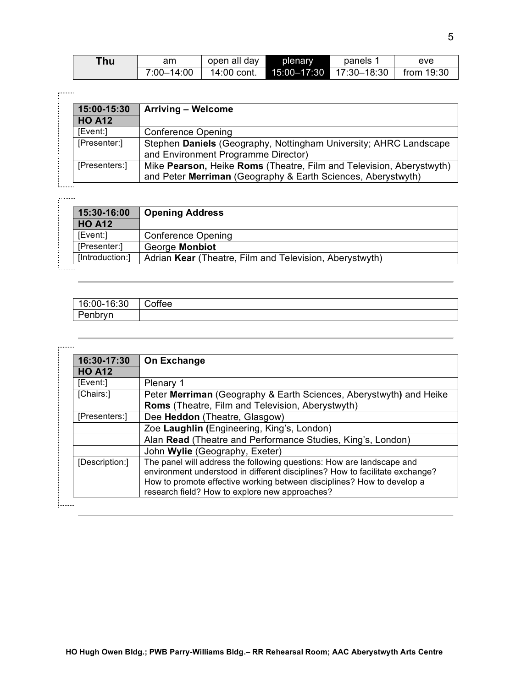| Thu | am         | open all day | plenary | panels                  | eve        |
|-----|------------|--------------|---------|-------------------------|------------|
|     | 7:00-14:00 | 14:00 cont.  |         | 15:00-17:30 17:30-18:30 | from 19:30 |

| 15:00-15:30   | <b>Arriving - Welcome</b>                                                                                                            |
|---------------|--------------------------------------------------------------------------------------------------------------------------------------|
| <b>HO A12</b> |                                                                                                                                      |
| [Event:]      | <b>Conference Opening</b>                                                                                                            |
| [Presenter:]  | Stephen Daniels (Geography, Nottingham University; AHRC Landscape<br>and Environment Programme Director)                             |
| [Presenters:] | Mike Pearson, Heike Roms (Theatre, Film and Television, Aberystwyth)<br>and Peter Merriman (Geography & Earth Sciences, Aberystwyth) |

.........

| 15:30-16:00     | <b>Opening Address</b>                                  |
|-----------------|---------------------------------------------------------|
| <b>HO A12</b>   |                                                         |
| [Event:]        | <b>Conference Opening</b>                               |
| [Presenter:]    | George Monbiot                                          |
| [Introduction:] | Adrian Kear (Theatre, Film and Television, Aberystwyth) |

| 16:00-16:30 | Coffee |
|-------------|--------|
| Penbryn     |        |

| 16:30-17:30    | On Exchange                                                                                                                                                                                                                                                                       |
|----------------|-----------------------------------------------------------------------------------------------------------------------------------------------------------------------------------------------------------------------------------------------------------------------------------|
| <b>HO A12</b>  |                                                                                                                                                                                                                                                                                   |
| [Event:]       | Plenary 1                                                                                                                                                                                                                                                                         |
| [Chairs:]      | Peter Merriman (Geography & Earth Sciences, Aberystwyth) and Heike                                                                                                                                                                                                                |
|                | Roms (Theatre, Film and Television, Aberystwyth)                                                                                                                                                                                                                                  |
| [Presenters:]  | Dee Heddon (Theatre, Glasgow)                                                                                                                                                                                                                                                     |
|                | Zoe Laughlin (Engineering, King's, London)                                                                                                                                                                                                                                        |
|                | Alan Read (Theatre and Performance Studies, King's, London)                                                                                                                                                                                                                       |
|                | John Wylie (Geography, Exeter)                                                                                                                                                                                                                                                    |
| [Description:] | The panel will address the following questions: How are landscape and<br>environment understood in different disciplines? How to facilitate exchange?<br>How to promote effective working between disciplines? How to develop a<br>research field? How to explore new approaches? |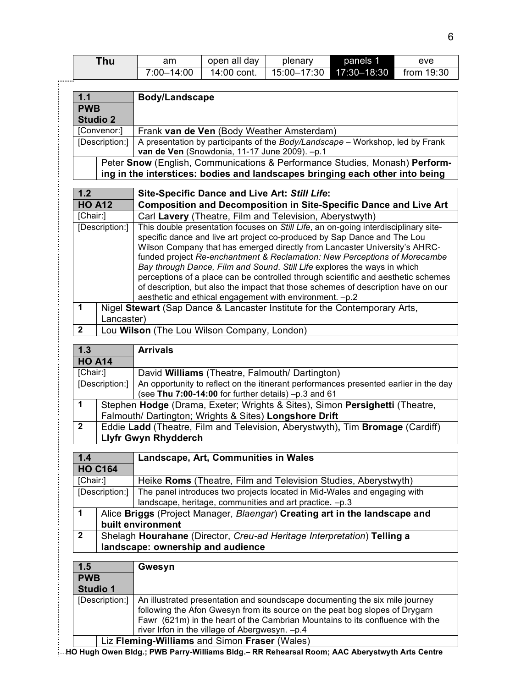|                         | <b>Thu</b>                                                                                                                                        | am                                                                                                                               | open all day                         | plenary                                                                                                                                                 | panels 1    | eve        |
|-------------------------|---------------------------------------------------------------------------------------------------------------------------------------------------|----------------------------------------------------------------------------------------------------------------------------------|--------------------------------------|---------------------------------------------------------------------------------------------------------------------------------------------------------|-------------|------------|
|                         |                                                                                                                                                   | 7:00-14:00                                                                                                                       | 14:00 cont.                          | 15:00-17:30                                                                                                                                             | 17:30-18:30 | from 19:30 |
|                         |                                                                                                                                                   |                                                                                                                                  |                                      |                                                                                                                                                         |             |            |
| $1.1$                   |                                                                                                                                                   | Body/Landscape                                                                                                                   |                                      |                                                                                                                                                         |             |            |
| <b>PWB</b>              |                                                                                                                                                   |                                                                                                                                  |                                      |                                                                                                                                                         |             |            |
|                         | <b>Studio 2</b>                                                                                                                                   |                                                                                                                                  |                                      |                                                                                                                                                         |             |            |
|                         | [Convenor:]                                                                                                                                       | Frank van de Ven (Body Weather Amsterdam)                                                                                        |                                      |                                                                                                                                                         |             |            |
|                         | A presentation by participants of the Body/Landscape - Workshop, led by Frank<br>[Description:]<br>van de Ven (Snowdonia, 11-17 June 2009). - p.1 |                                                                                                                                  |                                      |                                                                                                                                                         |             |            |
|                         |                                                                                                                                                   | Peter Snow (English, Communications & Performance Studies, Monash) Perform-                                                      |                                      |                                                                                                                                                         |             |            |
|                         |                                                                                                                                                   | ing in the interstices: bodies and landscapes bringing each other into being                                                     |                                      |                                                                                                                                                         |             |            |
| 1.2                     |                                                                                                                                                   |                                                                                                                                  |                                      | Site-Specific Dance and Live Art: Still Life:                                                                                                           |             |            |
| <b>HO A12</b>           |                                                                                                                                                   |                                                                                                                                  |                                      | <b>Composition and Decomposition in Site-Specific Dance and Live Art</b>                                                                                |             |            |
| [Chair:]                |                                                                                                                                                   |                                                                                                                                  |                                      | Carl Lavery (Theatre, Film and Television, Aberystwyth)                                                                                                 |             |            |
|                         | [Description:]                                                                                                                                    |                                                                                                                                  |                                      | This double presentation focuses on Still Life, an on-going interdisciplinary site-                                                                     |             |            |
|                         |                                                                                                                                                   |                                                                                                                                  |                                      | specific dance and live art project co-produced by Sap Dance and The Lou                                                                                |             |            |
|                         |                                                                                                                                                   |                                                                                                                                  |                                      | Wilson Company that has emerged directly from Lancaster University's AHRC-<br>funded project Re-enchantment & Reclamation: New Perceptions of Morecambe |             |            |
|                         |                                                                                                                                                   |                                                                                                                                  |                                      | Bay through Dance, Film and Sound. Still Life explores the ways in which                                                                                |             |            |
|                         |                                                                                                                                                   |                                                                                                                                  |                                      | perceptions of a place can be controlled through scientific and aesthetic schemes                                                                       |             |            |
|                         |                                                                                                                                                   |                                                                                                                                  |                                      | of description, but also the impact that those schemes of description have on our                                                                       |             |            |
|                         |                                                                                                                                                   |                                                                                                                                  |                                      | aesthetic and ethical engagement with environment. - p.2                                                                                                |             |            |
| 1                       |                                                                                                                                                   | Nigel Stewart (Sap Dance & Lancaster Institute for the Contemporary Arts,                                                        |                                      |                                                                                                                                                         |             |            |
|                         | Lancaster)                                                                                                                                        |                                                                                                                                  |                                      |                                                                                                                                                         |             |            |
| $\mathbf 2$             |                                                                                                                                                   | Lou Wilson (The Lou Wilson Company, London)                                                                                      |                                      |                                                                                                                                                         |             |            |
| 1.3                     |                                                                                                                                                   | <b>Arrivals</b>                                                                                                                  |                                      |                                                                                                                                                         |             |            |
| <b>HO A14</b>           |                                                                                                                                                   |                                                                                                                                  |                                      |                                                                                                                                                         |             |            |
| [Chair:]                |                                                                                                                                                   | David Williams (Theatre, Falmouth/ Dartington)                                                                                   |                                      |                                                                                                                                                         |             |            |
|                         | [Description:]                                                                                                                                    | An opportunity to reflect on the itinerant performances presented earlier in the day                                             |                                      |                                                                                                                                                         |             |            |
|                         |                                                                                                                                                   | (see Thu 7:00-14:00 for further details) -p.3 and 61                                                                             |                                      |                                                                                                                                                         |             |            |
| $\mathbf{1}$            |                                                                                                                                                   | Stephen Hodge (Drama, Exeter; Wrights & Sites), Simon Persighetti (Theatre,                                                      |                                      |                                                                                                                                                         |             |            |
|                         |                                                                                                                                                   | Falmouth/ Dartington; Wrights & Sites) Longshore Drift                                                                           |                                      |                                                                                                                                                         |             |            |
| $\overline{\mathbf{2}}$ |                                                                                                                                                   | Eddie Ladd (Theatre, Film and Television, Aberystwyth), Tim Bromage (Cardiff)<br>Llyfr Gwyn Rhydderch                            |                                      |                                                                                                                                                         |             |            |
|                         |                                                                                                                                                   |                                                                                                                                  |                                      |                                                                                                                                                         |             |            |
| 1.4                     |                                                                                                                                                   |                                                                                                                                  | Landscape, Art, Communities in Wales |                                                                                                                                                         |             |            |
|                         | <b>HO C164</b>                                                                                                                                    |                                                                                                                                  |                                      |                                                                                                                                                         |             |            |
| [Chair:]                |                                                                                                                                                   |                                                                                                                                  |                                      | Heike Roms (Theatre, Film and Television Studies, Aberystwyth)                                                                                          |             |            |
|                         | [Description:]                                                                                                                                    |                                                                                                                                  |                                      | The panel introduces two projects located in Mid-Wales and engaging with                                                                                |             |            |
| $\mathbf 1$             |                                                                                                                                                   | Alice Briggs (Project Manager, Blaengar) Creating art in the landscape and                                                       |                                      | landscape, heritage, communities and art practice. -p.3                                                                                                 |             |            |
|                         |                                                                                                                                                   | built environment                                                                                                                |                                      |                                                                                                                                                         |             |            |
| $\mathbf{2}$            |                                                                                                                                                   |                                                                                                                                  |                                      |                                                                                                                                                         |             |            |
|                         |                                                                                                                                                   | Shelagh Hourahane (Director, Creu-ad Heritage Interpretation) Telling a<br>landscape: ownership and audience                     |                                      |                                                                                                                                                         |             |            |
|                         |                                                                                                                                                   |                                                                                                                                  |                                      |                                                                                                                                                         |             |            |
| 1.5                     |                                                                                                                                                   | Gwesyn                                                                                                                           |                                      |                                                                                                                                                         |             |            |
| <b>PWB</b><br>Studio 1  |                                                                                                                                                   |                                                                                                                                  |                                      |                                                                                                                                                         |             |            |
|                         |                                                                                                                                                   |                                                                                                                                  |                                      | An illustrated presentation and soundscape documenting the six mile journey                                                                             |             |            |
|                         | [Description:]                                                                                                                                    |                                                                                                                                  |                                      | following the Afon Gwesyn from its source on the peat bog slopes of Drygarn                                                                             |             |            |
|                         |                                                                                                                                                   |                                                                                                                                  |                                      |                                                                                                                                                         |             |            |
|                         |                                                                                                                                                   | Fawr (621m) in the heart of the Cambrian Mountains to its confluence with the<br>river Irfon in the village of Abergwesyn. - p.4 |                                      |                                                                                                                                                         |             |            |
|                         |                                                                                                                                                   | Liz Fleming-Williams and Simon Fraser (Wales)                                                                                    |                                      |                                                                                                                                                         |             |            |
|                         |                                                                                                                                                   | HO Hugh Owen Bldg.; PWB Parry-Williams Bldg.– RR Rehearsal Room; AAC Aberystwyth Arts Centre                                     |                                      |                                                                                                                                                         |             |            |

Í

ļ.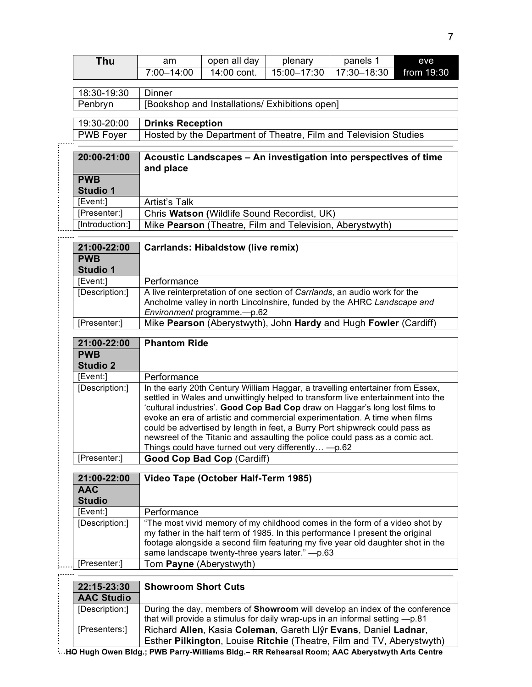| <b>Thu</b>                  | am                                                                          | open all day                                                     | plenary                                                                                                                                                   | panels 1    | eve        |
|-----------------------------|-----------------------------------------------------------------------------|------------------------------------------------------------------|-----------------------------------------------------------------------------------------------------------------------------------------------------------|-------------|------------|
|                             | $7:00 - 14:00$                                                              | 14:00 cont.                                                      | 15:00-17:30                                                                                                                                               | 17:30-18:30 | from 19:30 |
|                             |                                                                             |                                                                  |                                                                                                                                                           |             |            |
| 18:30-19:30                 | <b>Dinner</b>                                                               |                                                                  |                                                                                                                                                           |             |            |
| Penbryn                     |                                                                             | [Bookshop and Installations/ Exhibitions open]                   |                                                                                                                                                           |             |            |
| 19:30-20:00                 |                                                                             | <b>Drinks Reception</b>                                          |                                                                                                                                                           |             |            |
| <b>PWB Foyer</b>            |                                                                             | Hosted by the Department of Theatre, Film and Television Studies |                                                                                                                                                           |             |            |
|                             |                                                                             |                                                                  |                                                                                                                                                           |             |            |
| 20:00-21:00                 | Acoustic Landscapes - An investigation into perspectives of time            |                                                                  |                                                                                                                                                           |             |            |
|                             | and place                                                                   |                                                                  |                                                                                                                                                           |             |            |
| <b>PWB</b>                  |                                                                             |                                                                  |                                                                                                                                                           |             |            |
| Studio 1                    |                                                                             |                                                                  |                                                                                                                                                           |             |            |
| [Event:]                    | <b>Artist's Talk</b>                                                        |                                                                  |                                                                                                                                                           |             |            |
| [Presenter:]                |                                                                             |                                                                  | Chris Watson (Wildlife Sound Recordist, UK)                                                                                                               |             |            |
| [Introduction:]             |                                                                             |                                                                  | Mike Pearson (Theatre, Film and Television, Aberystwyth)                                                                                                  |             |            |
| 21:00-22:00                 |                                                                             | <b>Carrlands: Hibaldstow (live remix)</b>                        |                                                                                                                                                           |             |            |
| <b>PWB</b>                  |                                                                             |                                                                  |                                                                                                                                                           |             |            |
| Studio 1                    |                                                                             |                                                                  |                                                                                                                                                           |             |            |
| [Event:]                    | Performance                                                                 |                                                                  |                                                                                                                                                           |             |            |
| [Description:]              | A live reinterpretation of one section of Carrlands, an audio work for the  |                                                                  |                                                                                                                                                           |             |            |
|                             | Ancholme valley in north Lincolnshire, funded by the AHRC Landscape and     |                                                                  |                                                                                                                                                           |             |            |
|                             | Environment programme.-p.62                                                 |                                                                  |                                                                                                                                                           |             |            |
| [Presenter:]                | Mike Pearson (Aberystwyth), John Hardy and Hugh Fowler (Cardiff)            |                                                                  |                                                                                                                                                           |             |            |
| 21:00-22:00                 | <b>Phantom Ride</b>                                                         |                                                                  |                                                                                                                                                           |             |            |
| <b>PWB</b>                  |                                                                             |                                                                  |                                                                                                                                                           |             |            |
| <b>Studio 2</b>             |                                                                             |                                                                  |                                                                                                                                                           |             |            |
| [Event:]                    | Performance                                                                 |                                                                  |                                                                                                                                                           |             |            |
| [Description:]              |                                                                             |                                                                  | In the early 20th Century William Haggar, a travelling entertainer from Essex,                                                                            |             |            |
|                             |                                                                             |                                                                  | settled in Wales and unwittingly helped to transform live entertainment into the                                                                          |             |            |
|                             |                                                                             |                                                                  | 'cultural industries'. Good Cop Bad Cop draw on Haggar's long lost films to<br>evoke an era of artistic and commercial experimentation. A time when films |             |            |
|                             | could be advertised by length in feet, a Burry Port shipwreck could pass as |                                                                  |                                                                                                                                                           |             |            |
|                             |                                                                             |                                                                  |                                                                                                                                                           |             |            |
|                             |                                                                             |                                                                  | newsreel of the Titanic and assaulting the police could pass as a comic act.                                                                              |             |            |
|                             |                                                                             |                                                                  | Things could have turned out very differently - p.62                                                                                                      |             |            |
| [Presenter:]                |                                                                             | Good Cop Bad Cop (Cardiff)                                       |                                                                                                                                                           |             |            |
|                             |                                                                             |                                                                  |                                                                                                                                                           |             |            |
| 21:00-22:00                 |                                                                             | Video Tape (October Half-Term 1985)                              |                                                                                                                                                           |             |            |
| <b>AAC</b><br><b>Studio</b> |                                                                             |                                                                  |                                                                                                                                                           |             |            |
| [Event:]                    | Performance                                                                 |                                                                  |                                                                                                                                                           |             |            |
| [Description:]              |                                                                             |                                                                  | "The most vivid memory of my childhood comes in the form of a video shot by                                                                               |             |            |
|                             |                                                                             |                                                                  | my father in the half term of 1985. In this performance I present the original                                                                            |             |            |
|                             |                                                                             |                                                                  | footage alongside a second film featuring my five year old daughter shot in the                                                                           |             |            |
| [Presenter:]                | Tom Payne (Aberystwyth)                                                     |                                                                  | same landscape twenty-three years later." -p.63                                                                                                           |             |            |

| 22:15-23:30       | <b>Showroom Short Cuts</b>                                                                       |  |
|-------------------|--------------------------------------------------------------------------------------------------|--|
| <b>AAC Studio</b> |                                                                                                  |  |
| [Description:]    | During the day, members of <b>Showroom</b> will develop an index of the conference               |  |
|                   | that will provide a stimulus for daily wrap-ups in an informal setting -p.81                     |  |
| [Presenters:]     | Richard Allen, Kasia Coleman, Gareth Llŷr Evans, Daniel Ladnar,                                  |  |
|                   | Esther Pilkington, Louise Ritchie (Theatre, Film and TV, Aberystwyth)                            |  |
|                   | IA Hank Anna Bidd a Bilith Banka Williams Bidd - BB Bakasnad Basnac AAA Akanackandi. Anta Aantar |  |

**HO Hugh Owen Bldg.; PWB Parry-Williams Bldg.– RR Rehearsal Room; AAC Aberystwyth Arts Centre**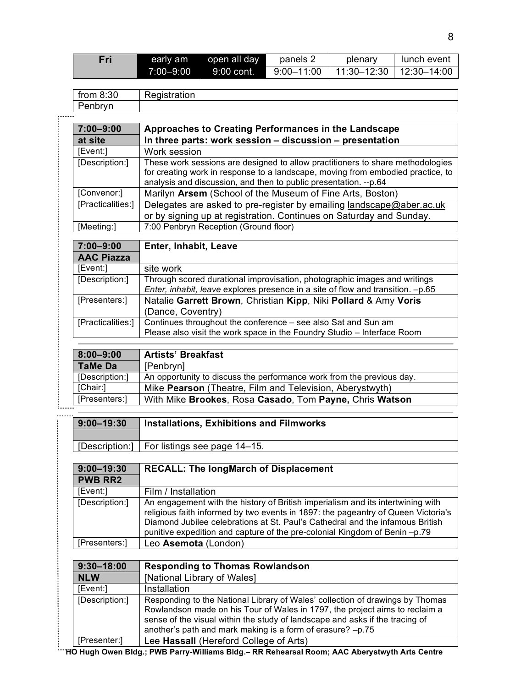| Fri | early am   | open all day | panels 2   | plenary                                         | lunch event |
|-----|------------|--------------|------------|-------------------------------------------------|-------------|
|     | 7:00–9:00⊺ | $9:00$ cont. | 9:00-11:00 | $\parallel$ 11:30–12:30 $\parallel$ 12:30–14:00 |             |

|                  | $\cdots$<br>from<br>. J V<br>. |  |
|------------------|--------------------------------|--|
|                  | D<br>$\sim$<br>                |  |
| -----------<br>٠ |                                |  |

| $7:00 - 9:00$     | Approaches to Creating Performances in the Landscape                            |
|-------------------|---------------------------------------------------------------------------------|
| at site           | In three parts: work session - discussion - presentation                        |
| [Event:]          | Work session                                                                    |
| [Description:]    | These work sessions are designed to allow practitioners to share methodologies  |
|                   | for creating work in response to a landscape, moving from embodied practice, to |
|                   | analysis and discussion, and then to public presentation. --p.64                |
| [Convenor:]       | Marilyn Arsem (School of the Museum of Fine Arts, Boston)                       |
| [Practicalities:] | Delegates are asked to pre-register by emailing landscape@aber.ac.uk            |
|                   | or by signing up at registration. Continues on Saturday and Sunday.             |
| [Meeting:]        | 7:00 Penbryn Reception (Ground floor)                                           |
|                   |                                                                                 |
| $7:00 - 9:00$     | Enter, Inhabit, Leave                                                           |
| <b>AAC Piazza</b> |                                                                                 |
| [Event:]          | site work                                                                       |
| [Description:]    | Through scored durational improvisation, photographic images and writings       |
|                   | Enter, inhabit, leave explores presence in a site of flow and transition. -p.65 |
| $\sim$            |                                                                                 |

| [Presenters:] | Natalie Garrett Brown, Christian Kipp, Niki Pollard & Amy Voris                                                                                              |
|---------------|--------------------------------------------------------------------------------------------------------------------------------------------------------------|
|               | (Dance, Coventry)                                                                                                                                            |
|               | [Practicalities:]   Continues throughout the conference – see also Sat and Sun am<br>Please also visit the work space in the Foundry Studio – Interface Room |

| $8:00 - 9:00$  | <b>Artists' Breakfast</b>                                             |
|----------------|-----------------------------------------------------------------------|
| <b>TaMe Da</b> | [Penbryn]                                                             |
| [Description:] | An opportunity to discuss the performance work from the previous day. |
| [Chair:]       | Mike <b>Pearson</b> (Theatre, Film and Television, Aberystwyth)       |
| [Presenters:]  | With Mike Brookes, Rosa Casado, Tom Payne, Chris Watson               |

| <br>$9:00 - 19:30$ | <b>Installations, Exhibitions and Filmworks</b> |
|--------------------|-------------------------------------------------|
|                    | [Description:]   For listings see page 14–15.   |

| $9:00 - 19:30$ | <b>RECALL: The longMarch of Displacement</b>                                                                                                                                                                                                                                                                                        |
|----------------|-------------------------------------------------------------------------------------------------------------------------------------------------------------------------------------------------------------------------------------------------------------------------------------------------------------------------------------|
| <b>PWB RR2</b> |                                                                                                                                                                                                                                                                                                                                     |
| [Event:]       | Film / Installation                                                                                                                                                                                                                                                                                                                 |
| [Description:] | An engagement with the history of British imperialism and its intertwining with<br>religious faith informed by two events in 1897: the pageantry of Queen Victoria's<br>Diamond Jubilee celebrations at St. Paul's Cathedral and the infamous British<br>punitive expedition and capture of the pre-colonial Kingdom of Benin -p.79 |
| [Presenters:]  | Leo Asemota (London)                                                                                                                                                                                                                                                                                                                |

| $9:30 - 18:00$ | <b>Responding to Thomas Rowlandson</b>                                                                                                                                                                                                                                                                     |
|----------------|------------------------------------------------------------------------------------------------------------------------------------------------------------------------------------------------------------------------------------------------------------------------------------------------------------|
| <b>NLW</b>     | [National Library of Wales]                                                                                                                                                                                                                                                                                |
| [Event:]       | Installation                                                                                                                                                                                                                                                                                               |
| [Description:] | Responding to the National Library of Wales' collection of drawings by Thomas<br>Rowlandson made on his Tour of Wales in 1797, the project aims to reclaim a<br>sense of the visual within the study of landscape and asks if the tracing of<br>another's path and mark making is a form of erasure? -p.75 |
| [Presenter:]   | Lee Hassall (Hereford College of Arts)                                                                                                                                                                                                                                                                     |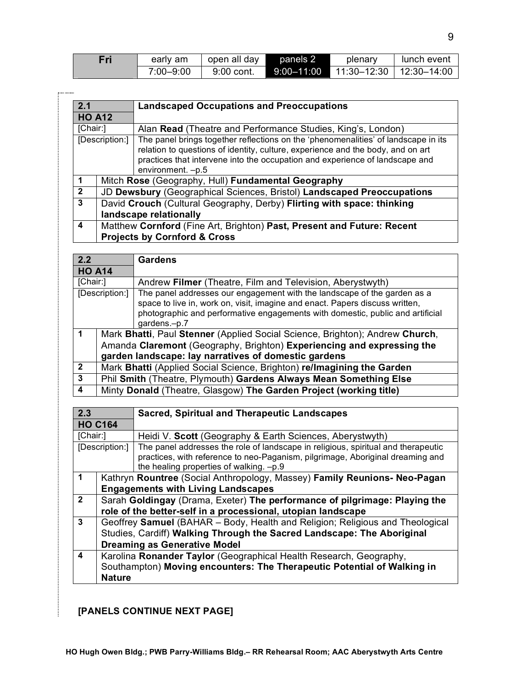| Fri | early am  | open all day | panels 2       | plenary                   | lunch event |
|-----|-----------|--------------|----------------|---------------------------|-------------|
|     | 7:00–9:00 | 9:00 cont.   | $9:00 - 11:00$ | 11:30–12:30 ∣ 12:30–14:00 |             |

| 2.1<br><b>Landscaped Occupations and Preoccupations</b> |                                                                                                                   |                                                                                                                                                                                                                                                                             |  |
|---------------------------------------------------------|-------------------------------------------------------------------------------------------------------------------|-----------------------------------------------------------------------------------------------------------------------------------------------------------------------------------------------------------------------------------------------------------------------------|--|
| <b>HO A12</b>                                           |                                                                                                                   |                                                                                                                                                                                                                                                                             |  |
| [Chair:]                                                |                                                                                                                   | Alan Read (Theatre and Performance Studies, King's, London)                                                                                                                                                                                                                 |  |
| [Description:]                                          |                                                                                                                   | The panel brings together reflections on the 'phenomenalities' of landscape in its<br>relation to questions of identity, culture, experience and the body, and on art<br>practices that intervene into the occupation and experience of landscape and<br>environment. - p.5 |  |
|                                                         |                                                                                                                   | Mitch Rose (Geography, Hull) Fundamental Geography                                                                                                                                                                                                                          |  |
| $\mathbf{2}$                                            |                                                                                                                   | JD Dewsbury (Geographical Sciences, Bristol) Landscaped Preoccupations                                                                                                                                                                                                      |  |
| 3                                                       |                                                                                                                   | David Crouch (Cultural Geography, Derby) Flirting with space: thinking<br>landscape relationally                                                                                                                                                                            |  |
| 4                                                       | Matthew Cornford (Fine Art, Brighton) Past, Present and Future: Recent<br><b>Projects by Cornford &amp; Cross</b> |                                                                                                                                                                                                                                                                             |  |

| 2.2            |                                                                              | <b>Gardens</b>                                                                                                                                                                                                                                             |  |
|----------------|------------------------------------------------------------------------------|------------------------------------------------------------------------------------------------------------------------------------------------------------------------------------------------------------------------------------------------------------|--|
| <b>HO A14</b>  |                                                                              |                                                                                                                                                                                                                                                            |  |
| [Chair:]       |                                                                              | Andrew Filmer (Theatre, Film and Television, Aberystwyth)                                                                                                                                                                                                  |  |
| [Description:] |                                                                              | The panel addresses our engagement with the landscape of the garden as a<br>space to live in, work on, visit, imagine and enact. Papers discuss written,<br>photographic and performative engagements with domestic, public and artificial<br>gardens.-p.7 |  |
|                | Mark Bhatti, Paul Stenner (Applied Social Science, Brighton); Andrew Church, |                                                                                                                                                                                                                                                            |  |
|                | Amanda Claremont (Geography, Brighton) Experiencing and expressing the       |                                                                                                                                                                                                                                                            |  |
|                | garden landscape: lay narratives of domestic gardens                         |                                                                                                                                                                                                                                                            |  |
| $\overline{2}$ |                                                                              | Mark Bhatti (Applied Social Science, Brighton) re/Imagining the Garden                                                                                                                                                                                     |  |
| 3              |                                                                              | Phil Smith (Theatre, Plymouth) Gardens Always Mean Something Else                                                                                                                                                                                          |  |
| 4              |                                                                              | Minty Donald (Theatre, Glasgow) The Garden Project (working title)                                                                                                                                                                                         |  |

|                                                                         | <b>Sacred, Spiritual and Therapeutic Landscapes</b>                                                                       |  |  |
|-------------------------------------------------------------------------|---------------------------------------------------------------------------------------------------------------------------|--|--|
| <b>HO C164</b>                                                          |                                                                                                                           |  |  |
| [Chair:]<br>Heidi V. Scott (Geography & Earth Sciences, Aberystwyth)    |                                                                                                                           |  |  |
| [Description:]                                                          | The panel addresses the role of landscape in religious, spiritual and therapeutic                                         |  |  |
|                                                                         | practices, with reference to neo-Paganism, pilgrimage, Aboriginal dreaming and<br>the healing properties of walking. -p.9 |  |  |
|                                                                         | Kathryn Rountree (Social Anthropology, Massey) Family Reunions- Neo-Pagan                                                 |  |  |
| <b>Engagements with Living Landscapes</b>                               |                                                                                                                           |  |  |
|                                                                         | Sarah Goldingay (Drama, Exeter) The performance of pilgrimage: Playing the                                                |  |  |
|                                                                         | role of the better-self in a processional, utopian landscape                                                              |  |  |
|                                                                         | Geoffrey Samuel (BAHAR - Body, Health and Religion; Religious and Theological                                             |  |  |
| Studies, Cardiff) Walking Through the Sacred Landscape: The Aboriginal  |                                                                                                                           |  |  |
| <b>Dreaming as Generative Model</b>                                     |                                                                                                                           |  |  |
| Karolina Ronander Taylor (Geographical Health Research, Geography,      |                                                                                                                           |  |  |
| Southampton) Moving encounters: The Therapeutic Potential of Walking in |                                                                                                                           |  |  |
| <b>Nature</b>                                                           |                                                                                                                           |  |  |
|                                                                         |                                                                                                                           |  |  |

# **[PANELS CONTINUE NEXT PAGE]**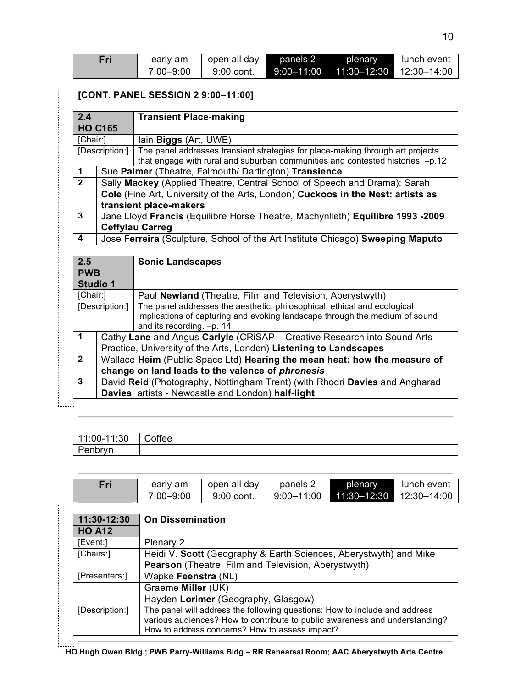| Fri | early am  | open all day | panels 2   | <b>plenary</b>          | lunch event |
|-----|-----------|--------------|------------|-------------------------|-------------|
|     | 7:00–9:00 | $9:00$ cont. | 9:00–11:00 | 11:30–12:30 12:30–14:00 |             |

## **[CONT. PANEL SESSION 2 9:00–11:00]**

| 2.4                  |                                                                                 | <b>Transient Place-making</b>                                                                                                                                    |  |
|----------------------|---------------------------------------------------------------------------------|------------------------------------------------------------------------------------------------------------------------------------------------------------------|--|
|                      | <b>HO C165</b>                                                                  |                                                                                                                                                                  |  |
| [Chair:]             |                                                                                 | lain Biggs (Art, UWE)                                                                                                                                            |  |
|                      | [Description:]                                                                  | The panel addresses transient strategies for place-making through art projects<br>that engage with rural and suburban communities and contested histories. -p.12 |  |
| $\blacktriangleleft$ | Sue Palmer (Theatre, Falmouth/ Dartington) Transience                           |                                                                                                                                                                  |  |
| $\overline{2}$       |                                                                                 | Sally Mackey (Applied Theatre, Central School of Speech and Drama); Sarah                                                                                        |  |
|                      | Cole (Fine Art, University of the Arts, London) Cuckoos in the Nest: artists as |                                                                                                                                                                  |  |
|                      | transient place-makers                                                          |                                                                                                                                                                  |  |
| 3                    | Jane Lloyd Francis (Equilibre Horse Theatre, Machynlleth) Equilibre 1993 -2009  |                                                                                                                                                                  |  |
|                      | <b>Ceffylau Carreg</b>                                                          |                                                                                                                                                                  |  |
| 4                    |                                                                                 | Jose Ferreira (Sculpture, School of the Art Institute Chicago) Sweeping Maputo                                                                                   |  |

| 2.5            |                                                                             | <b>Sonic Landscapes</b>                                                                                                                                                              |  |  |
|----------------|-----------------------------------------------------------------------------|--------------------------------------------------------------------------------------------------------------------------------------------------------------------------------------|--|--|
| <b>PWB</b>     |                                                                             |                                                                                                                                                                                      |  |  |
|                | <b>Studio 1</b>                                                             |                                                                                                                                                                                      |  |  |
| [Chair:]       |                                                                             | Paul Newland (Theatre, Film and Television, Aberystwyth)                                                                                                                             |  |  |
| [Description:] |                                                                             | The panel addresses the aesthetic, philosophical, ethical and ecological<br>implications of capturing and evoking landscape through the medium of sound<br>and its recording. -p. 14 |  |  |
| 1              |                                                                             | Cathy Lane and Angus Carlyle (CRISAP - Creative Research into Sound Arts                                                                                                             |  |  |
|                | Practice, University of the Arts, London) Listening to Landscapes           |                                                                                                                                                                                      |  |  |
| $\mathbf{2}$   | Wallace Heim (Public Space Ltd) Hearing the mean heat: how the measure of   |                                                                                                                                                                                      |  |  |
|                |                                                                             | change on land leads to the valence of phronesis                                                                                                                                     |  |  |
| 3              | David Reid (Photography, Nottingham Trent) (with Rhodri Davies and Angharad |                                                                                                                                                                                      |  |  |
|                | Davies, artists - Newcastle and London) half-light                          |                                                                                                                                                                                      |  |  |

| 11:00-11:30 | Coffee |
|-------------|--------|
| Penbryn     |        |

| Fri | early am  | open all day | panels 2       | plenary                     | lunch event |
|-----|-----------|--------------|----------------|-----------------------------|-------------|
|     | 7:00-9:00 | 9:00 cont.   | $9:00 - 11:00$ | $11:30 - 12:30$ 12:30-14:00 |             |
|     |           |              |                |                             |             |

| 11:30-12:30    | <b>On Dissemination</b>                                                                                                                                                                                     |
|----------------|-------------------------------------------------------------------------------------------------------------------------------------------------------------------------------------------------------------|
| <b>HO A12</b>  |                                                                                                                                                                                                             |
| [Event:]       | Plenary 2                                                                                                                                                                                                   |
| [Chairs:]      | Heidi V. Scott (Geography & Earth Sciences, Aberystwyth) and Mike                                                                                                                                           |
|                | Pearson (Theatre, Film and Television, Aberystwyth)                                                                                                                                                         |
| [Presenters:]  | Wapke Feenstra (NL)                                                                                                                                                                                         |
|                | Graeme Miller (UK)                                                                                                                                                                                          |
|                | Hayden Lorimer (Geography, Glasgow)                                                                                                                                                                         |
| [Description:] | The panel will address the following questions: How to include and address<br>various audiences? How to contribute to public awareness and understanding?<br>How to address concerns? How to assess impact? |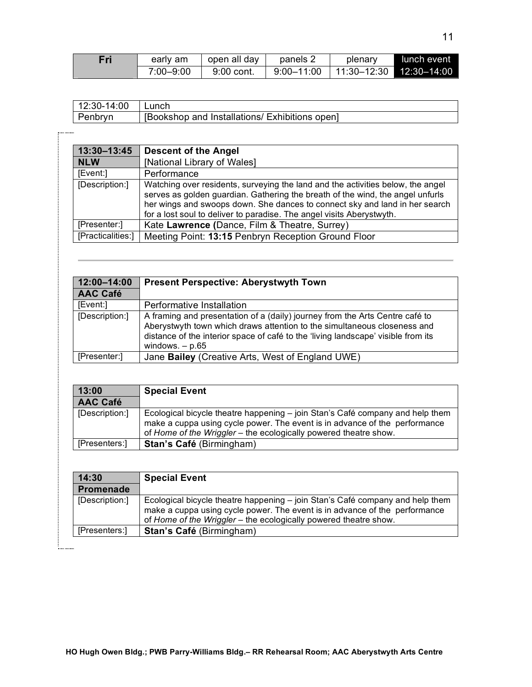| Fri | early am  | open all day | panels 2       | plenary       | Llunch event |
|-----|-----------|--------------|----------------|---------------|--------------|
|     | 7:00–9:00 | 9:00 cont.   | $9:00 - 11:00$ | 11:30–12:30 Ⅰ | 12:30–14:00  |

| 12:30-14:00 | ' Lunch                                        |
|-------------|------------------------------------------------|
| Penbryn     | [Bookshop and Installations/ Exhibitions open] |

.........

| 13:30-13:45       | <b>Descent of the Angel</b>                                                                                                                                                                                                                                                                                               |
|-------------------|---------------------------------------------------------------------------------------------------------------------------------------------------------------------------------------------------------------------------------------------------------------------------------------------------------------------------|
| <b>NLW</b>        | [National Library of Wales]                                                                                                                                                                                                                                                                                               |
| [Event:]          | Performance                                                                                                                                                                                                                                                                                                               |
| [Description:]    | Watching over residents, surveying the land and the activities below, the angel<br>serves as golden guardian. Gathering the breath of the wind, the angel unfurls<br>her wings and swoops down. She dances to connect sky and land in her search<br>for a lost soul to deliver to paradise. The angel visits Aberystwyth. |
| [Presenter:]      | Kate Lawrence (Dance, Film & Theatre, Surrey)                                                                                                                                                                                                                                                                             |
| [Practicalities:] | Meeting Point: 13:15 Penbryn Reception Ground Floor                                                                                                                                                                                                                                                                       |

| 12:00-14:00     | <b>Present Perspective: Aberystwyth Town</b>                                                                                                                                                                                                                       |
|-----------------|--------------------------------------------------------------------------------------------------------------------------------------------------------------------------------------------------------------------------------------------------------------------|
| <b>AAC Café</b> |                                                                                                                                                                                                                                                                    |
| [Event:]        | Performative Installation                                                                                                                                                                                                                                          |
| [Description:]  | A framing and presentation of a (daily) journey from the Arts Centre café to<br>Aberystwyth town which draws attention to the simultaneous closeness and<br>distance of the interior space of café to the 'living landscape' visible from its<br>windows. $- p.65$ |
| [Presenter:]    | Jane Bailey (Creative Arts, West of England UWE)                                                                                                                                                                                                                   |

| 13:00           | <b>Special Event</b>                                                                                                                                                                                                            |  |  |
|-----------------|---------------------------------------------------------------------------------------------------------------------------------------------------------------------------------------------------------------------------------|--|--|
| <b>AAC Café</b> |                                                                                                                                                                                                                                 |  |  |
| [Description:]  | Ecological bicycle theatre happening – join Stan's Café company and help them<br>make a cuppa using cycle power. The event is in advance of the performance<br>of Home of the Wriggler - the ecologically powered theatre show. |  |  |
| [Presenters:]   | Stan's Café (Birmingham)                                                                                                                                                                                                        |  |  |

| 14:30            | <b>Special Event</b>                                                                                                                                                                                                            |
|------------------|---------------------------------------------------------------------------------------------------------------------------------------------------------------------------------------------------------------------------------|
| <b>Promenade</b> |                                                                                                                                                                                                                                 |
| [Description:]   | Ecological bicycle theatre happening – join Stan's Café company and help them<br>make a cuppa using cycle power. The event is in advance of the performance<br>of Home of the Wriggler - the ecologically powered theatre show. |
| [Presenters:]    | Stan's Café (Birmingham)                                                                                                                                                                                                        |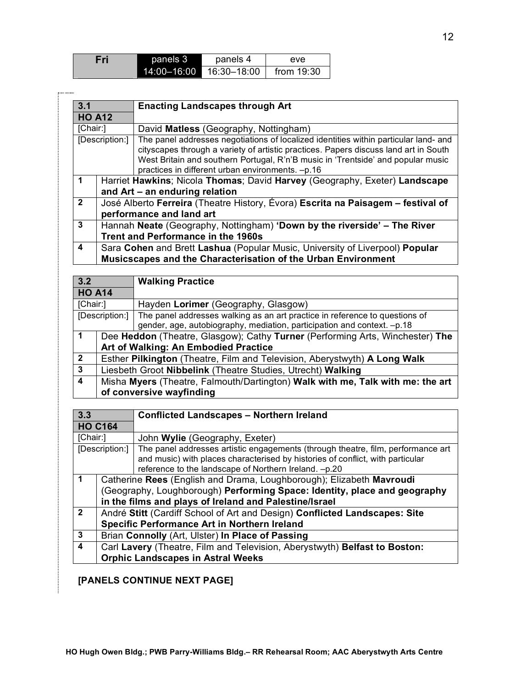| Fri | panels 3        | panels 4    | eve          |
|-----|-----------------|-------------|--------------|
|     | $14:00 - 16:00$ | 16:30–18:00 | from $19:30$ |

| 3.1            |                                                                                                                       | <b>Enacting Landscapes through Art</b>                                                                                                                                                                                                                                                                               |  |  |
|----------------|-----------------------------------------------------------------------------------------------------------------------|----------------------------------------------------------------------------------------------------------------------------------------------------------------------------------------------------------------------------------------------------------------------------------------------------------------------|--|--|
|                | <b>HO A12</b>                                                                                                         |                                                                                                                                                                                                                                                                                                                      |  |  |
| [Chair:]       |                                                                                                                       | David Matless (Geography, Nottingham)                                                                                                                                                                                                                                                                                |  |  |
| [Description:] |                                                                                                                       | The panel addresses negotiations of localized identities within particular land- and<br>cityscapes through a variety of artistic practices. Papers discuss land art in South<br>West Britain and southern Portugal, R'n'B music in 'Trentside' and popular music<br>practices in different urban environments. -p.16 |  |  |
|                | Harriet Hawkins; Nicola Thomas; David Harvey (Geography, Exeter) Landscape<br>and Art – an enduring relation          |                                                                                                                                                                                                                                                                                                                      |  |  |
| $\mathbf{2}$   | José Alberto Ferreira (Theatre History, Évora) Escrita na Paisagem – festival of<br>performance and land art          |                                                                                                                                                                                                                                                                                                                      |  |  |
| 3              | Hannah Neate (Geography, Nottingham) 'Down by the riverside' - The River<br><b>Trent and Performance in the 1960s</b> |                                                                                                                                                                                                                                                                                                                      |  |  |
| 4              | Sara Cohen and Brett Lashua (Popular Music, University of Liverpool) Popular                                          |                                                                                                                                                                                                                                                                                                                      |  |  |
|                |                                                                                                                       | Musicscapes and the Characterisation of the Urban Environment                                                                                                                                                                                                                                                        |  |  |

| 3.2                      |                                                                                | <b>Walking Practice</b>                                                     |  |
|--------------------------|--------------------------------------------------------------------------------|-----------------------------------------------------------------------------|--|
| <b>HO A14</b>            |                                                                                |                                                                             |  |
| [Chair:]                 |                                                                                | Hayden Lorimer (Geography, Glasgow)                                         |  |
| [Description:]           |                                                                                | The panel addresses walking as an art practice in reference to questions of |  |
|                          |                                                                                | gender, age, autobiography, mediation, participation and context. -p.18     |  |
| $\mathbf 1$              | Dee Heddon (Theatre, Glasgow); Cathy Turner (Performing Arts, Winchester) The  |                                                                             |  |
|                          | Art of Walking: An Embodied Practice                                           |                                                                             |  |
| $\overline{2}$           | Esther Pilkington (Theatre, Film and Television, Aberystwyth) A Long Walk      |                                                                             |  |
| 3                        | Liesbeth Groot Nibbelink (Theatre Studies, Utrecht) Walking                    |                                                                             |  |
| $\overline{4}$           | Misha Myers (Theatre, Falmouth/Dartington) Walk with me, Talk with me: the art |                                                                             |  |
| of conversive wayfinding |                                                                                |                                                                             |  |

| 3.3              |                                                                            | <b>Conflicted Landscapes - Northern Ireland</b>                                  |  |
|------------------|----------------------------------------------------------------------------|----------------------------------------------------------------------------------|--|
| <b>HO C164</b>   |                                                                            |                                                                                  |  |
| [Chair:]         |                                                                            | John Wylie (Geography, Exeter)                                                   |  |
|                  | [Description:]                                                             | The panel addresses artistic engagements (through theatre, film, performance art |  |
|                  |                                                                            | and music) with places characterised by histories of conflict, with particular   |  |
|                  |                                                                            | reference to the landscape of Northern Ireland. -p.20                            |  |
| -1               |                                                                            | Catherine Rees (English and Drama, Loughborough); Elizabeth Mavroudi             |  |
|                  | (Geography, Loughborough) Performing Space: Identity, place and geography  |                                                                                  |  |
|                  | in the films and plays of Ireland and Palestine/Israel                     |                                                                                  |  |
| $\overline{2}$   | André Stitt (Cardiff School of Art and Design) Conflicted Landscapes: Site |                                                                                  |  |
|                  | Specific Performance Art in Northern Ireland                               |                                                                                  |  |
| 3                | Brian Connolly (Art, Ulster) In Place of Passing                           |                                                                                  |  |
| $\boldsymbol{4}$ | Carl Lavery (Theatre, Film and Television, Aberystwyth) Belfast to Boston: |                                                                                  |  |
|                  | <b>Orphic Landscapes in Astral Weeks</b>                                   |                                                                                  |  |

## **[PANELS CONTINUE NEXT PAGE]**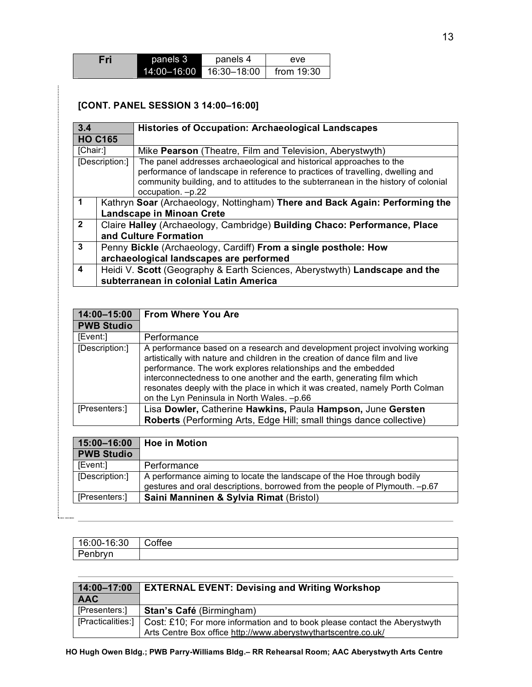| Fri | panels 3        | panels 4    | eve.       |
|-----|-----------------|-------------|------------|
|     | $14:00 - 16:00$ | 16:30–18:00 | from 19:30 |

## **[CONT. PANEL SESSION 3 14:00–16:00]**

| 3.4                  |                                                                                                                      | <b>Histories of Occupation: Archaeological Landscapes</b>                                                                                                                                                                                                         |
|----------------------|----------------------------------------------------------------------------------------------------------------------|-------------------------------------------------------------------------------------------------------------------------------------------------------------------------------------------------------------------------------------------------------------------|
| <b>HO C165</b>       |                                                                                                                      |                                                                                                                                                                                                                                                                   |
| [Chair:]             |                                                                                                                      | Mike Pearson (Theatre, Film and Television, Aberystwyth)                                                                                                                                                                                                          |
| [Description:]       |                                                                                                                      | The panel addresses archaeological and historical approaches to the<br>performance of landscape in reference to practices of travelling, dwelling and<br>community building, and to attitudes to the subterranean in the history of colonial<br>occupation. -p.22 |
| $\blacktriangleleft$ | Kathryn Soar (Archaeology, Nottingham) There and Back Again: Performing the<br>Landscape in Minoan Crete             |                                                                                                                                                                                                                                                                   |
| $\overline{2}$       | Claire Halley (Archaeology, Cambridge) Building Chaco: Performance, Place<br>and Culture Formation                   |                                                                                                                                                                                                                                                                   |
| 3                    | Penny Bickle (Archaeology, Cardiff) From a single posthole: How<br>archaeological landscapes are performed           |                                                                                                                                                                                                                                                                   |
| 4                    | Heidi V. Scott (Geography & Earth Sciences, Aberystwyth) Landscape and the<br>subterranean in colonial Latin America |                                                                                                                                                                                                                                                                   |

| 14:00-15:00       | From Where You Are                                                                                                                                                                                                                                                                                                                                                                                                                    |
|-------------------|---------------------------------------------------------------------------------------------------------------------------------------------------------------------------------------------------------------------------------------------------------------------------------------------------------------------------------------------------------------------------------------------------------------------------------------|
| <b>PWB Studio</b> |                                                                                                                                                                                                                                                                                                                                                                                                                                       |
| [Event:]          | Performance                                                                                                                                                                                                                                                                                                                                                                                                                           |
| [Description:]    | A performance based on a research and development project involving working<br>artistically with nature and children in the creation of dance film and live<br>performance. The work explores relationships and the embedded<br>interconnectedness to one another and the earth, generating film which<br>resonates deeply with the place in which it was created, namely Porth Colman<br>on the Lyn Peninsula in North Wales. - p.66 |
| [Presenters:]     | Lisa Dowler, Catherine Hawkins, Paula Hampson, June Gersten                                                                                                                                                                                                                                                                                                                                                                           |
|                   | Roberts (Performing Arts, Edge Hill; small things dance collective)                                                                                                                                                                                                                                                                                                                                                                   |

| <b>Hoe in Motion</b>                                                        |
|-----------------------------------------------------------------------------|
|                                                                             |
| Performance                                                                 |
| A performance aiming to locate the landscape of the Hoe through bodily      |
| gestures and oral descriptions, borrowed from the people of Plymouth. -p.67 |
| Saini Manninen & Sylvia Rimat (Bristol)                                     |
|                                                                             |

| 16:00-16:30 | Coffee |
|-------------|--------|
| Penbryn     |        |

| 14:00-17:00   | <b>EXTERNAL EVENT: Devising and Writing Workshop</b>                                                 |
|---------------|------------------------------------------------------------------------------------------------------|
| <b>AAC</b>    |                                                                                                      |
| [Presenters:] | <b>Stan's Café (Birmingham)</b>                                                                      |
|               | [Practicalities:] $\vert$ Cost: £10; For more information and to book please contact the Aberystwyth |
|               | Arts Centre Box office http://www.aberystwythartscentre.co.uk/                                       |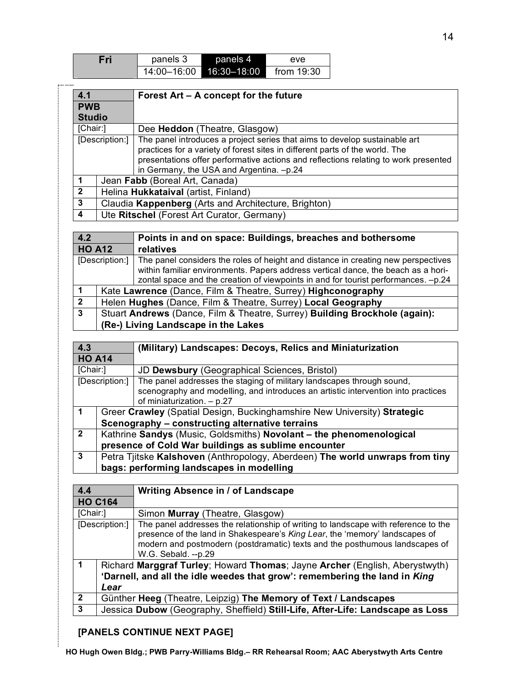| Fri | panels 3    | panels 4    | eve          |
|-----|-------------|-------------|--------------|
|     | 14:00-16:00 | 16:30-18:00 | from $19:30$ |

| 4.1                                                          |                                                      | Forest Art – A concept for the future                                               |  |
|--------------------------------------------------------------|------------------------------------------------------|-------------------------------------------------------------------------------------|--|
| <b>PWB</b>                                                   |                                                      |                                                                                     |  |
| <b>Studio</b>                                                |                                                      |                                                                                     |  |
| [Chair:]                                                     |                                                      | Dee Heddon (Theatre, Glasgow)                                                       |  |
|                                                              | [Description:]                                       | The panel introduces a project series that aims to develop sustainable art          |  |
|                                                              |                                                      | practices for a variety of forest sites in different parts of the world. The        |  |
|                                                              |                                                      | presentations offer performative actions and reflections relating to work presented |  |
|                                                              |                                                      | in Germany, the USA and Argentina. -p.24                                            |  |
|                                                              | Jean Fabb (Boreal Art, Canada)                       |                                                                                     |  |
| $\overline{2}$<br>Helina Hukkataival (artist, Finland)       |                                                      |                                                                                     |  |
| 3                                                            | Claudia Kappenberg (Arts and Architecture, Brighton) |                                                                                     |  |
| $\overline{4}$<br>Ute Ritschel (Forest Art Curator, Germany) |                                                      |                                                                                     |  |

| 4.2            |                                                                            | Points in and on space: Buildings, breaches and bothersome                                                                                                                                                                                                   |
|----------------|----------------------------------------------------------------------------|--------------------------------------------------------------------------------------------------------------------------------------------------------------------------------------------------------------------------------------------------------------|
| <b>HO A12</b>  |                                                                            | relatives                                                                                                                                                                                                                                                    |
| [Description:] |                                                                            | The panel considers the roles of height and distance in creating new perspectives<br>within familiar environments. Papers address vertical dance, the beach as a hori-<br>zontal space and the creation of viewpoints in and for tourist performances. -p.24 |
|                |                                                                            | Kate Lawrence (Dance, Film & Theatre, Surrey) Highconography                                                                                                                                                                                                 |
| $\mathbf{2}$   | Helen Hughes (Dance, Film & Theatre, Surrey) Local Geography               |                                                                                                                                                                                                                                                              |
| 3              | Stuart Andrews (Dance, Film & Theatre, Surrey) Building Brockhole (again): |                                                                                                                                                                                                                                                              |
|                | (Re-) Living Landscape in the Lakes                                        |                                                                                                                                                                                                                                                              |

| 4.3            |                                                                              | (Military) Landscapes: Decoys, Relics and Miniaturization                         |
|----------------|------------------------------------------------------------------------------|-----------------------------------------------------------------------------------|
| <b>HO A14</b>  |                                                                              |                                                                                   |
| [Chair:]       |                                                                              | JD Dewsbury (Geographical Sciences, Bristol)                                      |
|                | [Description:]                                                               | The panel addresses the staging of military landscapes through sound,             |
|                |                                                                              | scenography and modelling, and introduces an artistic intervention into practices |
|                |                                                                              | of miniaturization. $- p.27$                                                      |
|                | Greer Crawley (Spatial Design, Buckinghamshire New University) Strategic     |                                                                                   |
|                | Scenography - constructing alternative terrains                              |                                                                                   |
| $\overline{2}$ | Kathrine Sandys (Music, Goldsmiths) Novolant - the phenomenological          |                                                                                   |
|                | presence of Cold War buildings as sublime encounter                          |                                                                                   |
| 3              | Petra Tjitske Kalshoven (Anthropology, Aberdeen) The world unwraps from tiny |                                                                                   |
|                | bags: performing landscapes in modelling                                     |                                                                                   |

| 4.4                                                                                 |      | <b>Writing Absence in / of Landscape</b>                                                                                                                                                                                                                                |  |  |
|-------------------------------------------------------------------------------------|------|-------------------------------------------------------------------------------------------------------------------------------------------------------------------------------------------------------------------------------------------------------------------------|--|--|
| <b>HO C164</b>                                                                      |      |                                                                                                                                                                                                                                                                         |  |  |
| [Chair:]                                                                            |      | Simon Murray (Theatre, Glasgow)                                                                                                                                                                                                                                         |  |  |
| [Description:]                                                                      |      | The panel addresses the relationship of writing to landscape with reference to the<br>presence of the land in Shakespeare's King Lear, the 'memory' landscapes of<br>modern and postmodern (postdramatic) texts and the posthumous landscapes of<br>W.G. Sebald. --p.29 |  |  |
| 1                                                                                   |      | Richard Marggraf Turley; Howard Thomas; Jayne Archer (English, Aberystwyth)                                                                                                                                                                                             |  |  |
|                                                                                     |      | 'Darnell, and all the idle weedes that grow': remembering the land in King                                                                                                                                                                                              |  |  |
|                                                                                     | Lear |                                                                                                                                                                                                                                                                         |  |  |
| $\overline{2}$                                                                      |      | Günther Heeg (Theatre, Leipzig) The Memory of Text / Landscapes                                                                                                                                                                                                         |  |  |
| 3<br>Jessica Dubow (Geography, Sheffield) Still-Life, After-Life: Landscape as Loss |      |                                                                                                                                                                                                                                                                         |  |  |

## **[PANELS CONTINUE NEXT PAGE]**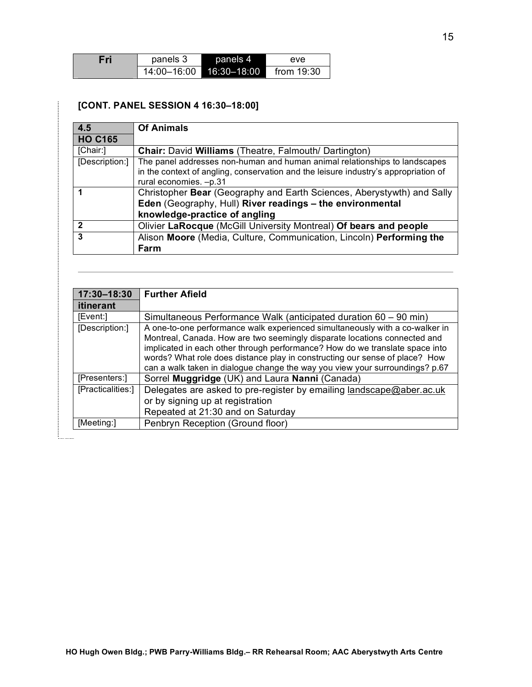| Fri | panels 3    | panels 4    | eve          |  |
|-----|-------------|-------------|--------------|--|
|     | 14:00–16:00 | 16:30-18:00 | from $19:30$ |  |

#### **[CONT. PANEL SESSION 4 16:30–18:00]**

4. . . . . . . . .

| 4.5            | <b>Of Animals</b>                                                                   |
|----------------|-------------------------------------------------------------------------------------|
| <b>HO C165</b> |                                                                                     |
| [Chair:]       | Chair: David Williams (Theatre, Falmouth/ Dartington)                               |
| [Description:] | The panel addresses non-human and human animal relationships to landscapes          |
|                | in the context of angling, conservation and the leisure industry's appropriation of |
|                | rural economies. - p.31                                                             |
|                | Christopher Bear (Geography and Earth Sciences, Aberystywth) and Sally              |
|                | Eden (Geography, Hull) River readings - the environmental                           |
|                | knowledge-practice of angling                                                       |
| $\mathbf{2}$   | Olivier LaRocque (McGill University Montreal) Of bears and people                   |
| 3              | Alison Moore (Media, Culture, Communication, Lincoln) Performing the                |
|                | Farm                                                                                |

| 17:30-18:30       | <b>Further Afield</b>                                                                                                                                                                                                                                                                                                                                                                                    |
|-------------------|----------------------------------------------------------------------------------------------------------------------------------------------------------------------------------------------------------------------------------------------------------------------------------------------------------------------------------------------------------------------------------------------------------|
| <b>itinerant</b>  |                                                                                                                                                                                                                                                                                                                                                                                                          |
| [Event:]          | Simultaneous Performance Walk (anticipated duration 60 – 90 min)                                                                                                                                                                                                                                                                                                                                         |
| [Description:]    | A one-to-one performance walk experienced simultaneously with a co-walker in<br>Montreal, Canada. How are two seemingly disparate locations connected and<br>implicated in each other through performance? How do we translate space into<br>words? What role does distance play in constructing our sense of place? How<br>can a walk taken in dialogue change the way you view your surroundings? p.67 |
| [Presenters:]     | Sorrel Muggridge (UK) and Laura Nanni (Canada)                                                                                                                                                                                                                                                                                                                                                           |
| [Practicalities:] | Delegates are asked to pre-register by emailing landscape@aber.ac.uk<br>or by signing up at registration<br>Repeated at 21:30 and on Saturday                                                                                                                                                                                                                                                            |
| [Meeting:]        | Penbryn Reception (Ground floor)                                                                                                                                                                                                                                                                                                                                                                         |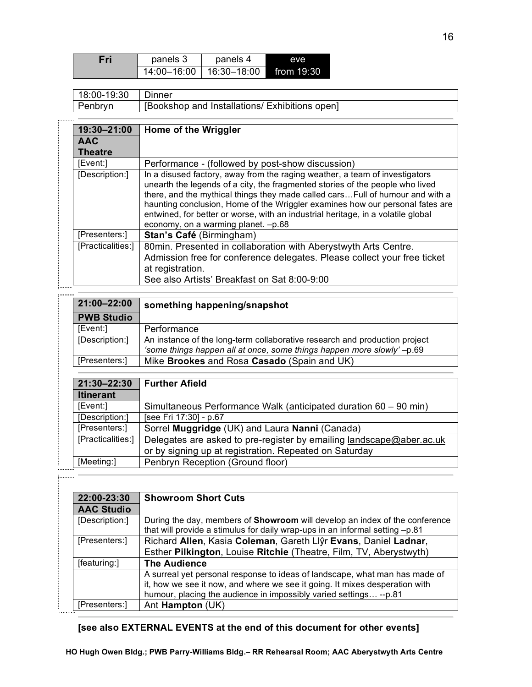| Fri | panels 3    | panels 4    | eve          |
|-----|-------------|-------------|--------------|
|     | 14:00-16:00 | 16:30–18:00 | from $19:30$ |

| 18:00-19:30 | Dinner                                         |
|-------------|------------------------------------------------|
| Penbryn     | [Bookshop and Installations/ Exhibitions open] |

| 19:30-21:00       | Home of the Wriggler                                                                                                                                                                                                                                                                                                                                                                                                                                       |
|-------------------|------------------------------------------------------------------------------------------------------------------------------------------------------------------------------------------------------------------------------------------------------------------------------------------------------------------------------------------------------------------------------------------------------------------------------------------------------------|
| <b>AAC</b>        |                                                                                                                                                                                                                                                                                                                                                                                                                                                            |
| <b>Theatre</b>    |                                                                                                                                                                                                                                                                                                                                                                                                                                                            |
| [Event:]          | Performance - (followed by post-show discussion)                                                                                                                                                                                                                                                                                                                                                                                                           |
| [Description:]    | In a disused factory, away from the raging weather, a team of investigators<br>unearth the legends of a city, the fragmented stories of the people who lived<br>there, and the mythical things they made called cars Full of humour and with a<br>haunting conclusion, Home of the Wriggler examines how our personal fates are<br>entwined, for better or worse, with an industrial heritage, in a volatile global<br>economy, on a warming planet. -p.68 |
| [Presenters:]     | Stan's Café (Birmingham)                                                                                                                                                                                                                                                                                                                                                                                                                                   |
| [Practicalities:] | 80 min. Presented in collaboration with Aberystwyth Arts Centre.<br>Admission free for conference delegates. Please collect your free ticket<br>at registration.<br>See also Artists' Breakfast on Sat 8:00-9:00                                                                                                                                                                                                                                           |

| 21:00-22:00       | something happening/snapshot                                                                                                                        |
|-------------------|-----------------------------------------------------------------------------------------------------------------------------------------------------|
| <b>PWB Studio</b> |                                                                                                                                                     |
| [Event:]          | Performance                                                                                                                                         |
| [Description:]    | An instance of the long-term collaborative research and production project<br>'some things happen all at once, some things happen more slowly'-p.69 |
| [Presenters:]     | Mike Brookes and Rosa Casado (Spain and UK)                                                                                                         |

| 21:30-22:30       | <b>Further Afield</b>                                                                                                          |
|-------------------|--------------------------------------------------------------------------------------------------------------------------------|
| <b>Itinerant</b>  |                                                                                                                                |
| [Event:]          | Simultaneous Performance Walk (anticipated duration 60 – 90 min)                                                               |
| [Description:]    | [see Fri 17:30] - p.67                                                                                                         |
| [Presenters:]     | Sorrel Muggridge (UK) and Laura Nanni (Canada)                                                                                 |
| [Practicalities:] | Delegates are asked to pre-register by emailing landscape@aber.ac.uk<br>or by signing up at registration. Repeated on Saturday |
| [Meeting:]        | Penbryn Reception (Ground floor)                                                                                               |

| 22:00-23:30       | <b>Showroom Short Cuts</b>                                                                                                                                                                                                       |
|-------------------|----------------------------------------------------------------------------------------------------------------------------------------------------------------------------------------------------------------------------------|
| <b>AAC Studio</b> |                                                                                                                                                                                                                                  |
| [Description:]    | During the day, members of <b>Showroom</b> will develop an index of the conference<br>that will provide a stimulus for daily wrap-ups in an informal setting -p.81                                                               |
| [Presenters:]     | Richard Allen, Kasia Coleman, Gareth Llŷr Evans, Daniel Ladnar,                                                                                                                                                                  |
|                   | Esther Pilkington, Louise Ritchie (Theatre, Film, TV, Aberystwyth)                                                                                                                                                               |
| [featuring:]      | <b>The Audience</b>                                                                                                                                                                                                              |
|                   | A surreal yet personal response to ideas of landscape, what man has made of<br>it, how we see it now, and where we see it going. It mixes desperation with<br>humour, placing the audience in impossibly varied settings -- p.81 |
| [Presenters:]     | Ant <b>Hampton</b> (UK)                                                                                                                                                                                                          |

## **[see also EXTERNAL EVENTS at the end of this document for other events]**

.....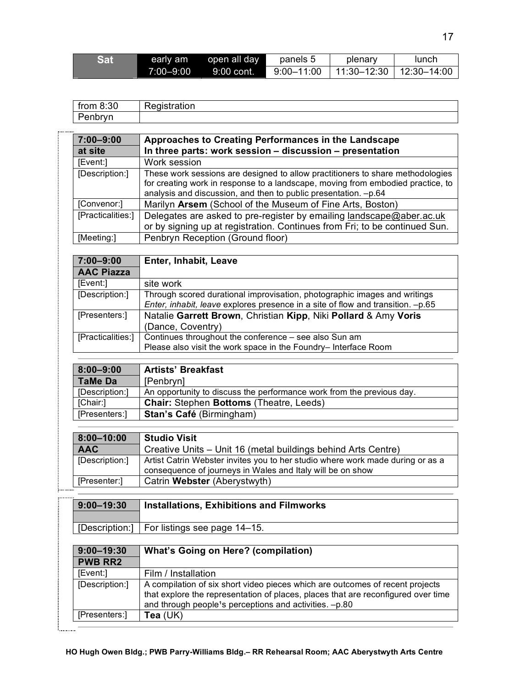| <b>Sat</b> | early am      | open all day | panels 5       | plenary                   | lunch |
|------------|---------------|--------------|----------------|---------------------------|-------|
|            | $7:00 - 9:00$ | 9:00 cont.   | $9:00 - 11:00$ | 11:30–12:30 ∃ 12:30–14:00 |       |

| from $8:30$ | Registration |
|-------------|--------------|
| Penbryn     |              |

. . . . . . .

| $7:00 - 9:00$     | Approaches to Creating Performances in the Landscape                            |
|-------------------|---------------------------------------------------------------------------------|
| at site           | In three parts: work session - discussion - presentation                        |
| [Event:]          | Work session                                                                    |
| [Description:]    | These work sessions are designed to allow practitioners to share methodologies  |
|                   | for creating work in response to a landscape, moving from embodied practice, to |
|                   | analysis and discussion, and then to public presentation. -p.64                 |
| [Convenor:]       | Marilyn Arsem (School of the Museum of Fine Arts, Boston)                       |
| [Practicalities:] | Delegates are asked to pre-register by emailing landscape@aber.ac.uk            |
|                   | or by signing up at registration. Continues from Fri; to be continued Sun.      |
| [Meeting:]        | Penbryn Reception (Ground floor)                                                |
|                   |                                                                                 |
| 7:00-9:00         | Enter, Inhabit, Leave                                                           |
|                   |                                                                                 |

| 7.UU—9.UU         | Eliter, Illiidult, Ledve                                                        |
|-------------------|---------------------------------------------------------------------------------|
| <b>AAC Piazza</b> |                                                                                 |
| [Event:]          | site work                                                                       |
| [Description:]    | Through scored durational improvisation, photographic images and writings       |
|                   | Enter, inhabit, leave explores presence in a site of flow and transition. -p.65 |
| [Presenters:]     | Natalie Garrett Brown, Christian Kipp, Niki Pollard & Amy Voris                 |
|                   | (Dance, Coventry)                                                               |
| [Practicalities:] | Continues throughout the conference – see also Sun am                           |
|                   | Please also visit the work space in the Foundry- Interface Room                 |

| $8:00 - 9:00$  | <b>Artists' Breakfast</b>                                             |
|----------------|-----------------------------------------------------------------------|
| TaMe Da        | [Penbryn]                                                             |
| [Description:] | An opportunity to discuss the performance work from the previous day. |
| [Chair:]       | <b>Chair: Stephen Bottoms (Theatre, Leeds)</b>                        |
| [Presenters:]  | <b>Stan's Café (Birmingham)</b>                                       |

| $8:00 - 10:00$ | <b>Studio Visit</b>                                                            |
|----------------|--------------------------------------------------------------------------------|
| <b>AAC</b>     | Creative Units - Unit 16 (metal buildings behind Arts Centre)                  |
| [Description:] | Artist Catrin Webster invites you to her studio where work made during or as a |
|                | consequence of journeys in Wales and Italy will be on show                     |
| [Presenter:]   | Catrin Webster (Aberystwyth)                                                   |

| <br>$9:00 - 19:30$ | <b>Installations, Exhibitions and Filmworks</b> |
|--------------------|-------------------------------------------------|
|                    | [Description:]   For listings see page 14–15.   |

| $9:00 - 19:30$ | What's Going on Here? (compilation)                                                                                                                                                                                                       |
|----------------|-------------------------------------------------------------------------------------------------------------------------------------------------------------------------------------------------------------------------------------------|
| <b>PWB RR2</b> |                                                                                                                                                                                                                                           |
| [Event:]       | Film / Installation                                                                                                                                                                                                                       |
| [Description:] | A compilation of six short video pieces which are outcomes of recent projects<br>that explore the representation of places, places that are reconfigured over time<br>and through people <sup>1</sup> s perceptions and activities. -p.80 |
| [Presenters:]  | Tea $(UK)$                                                                                                                                                                                                                                |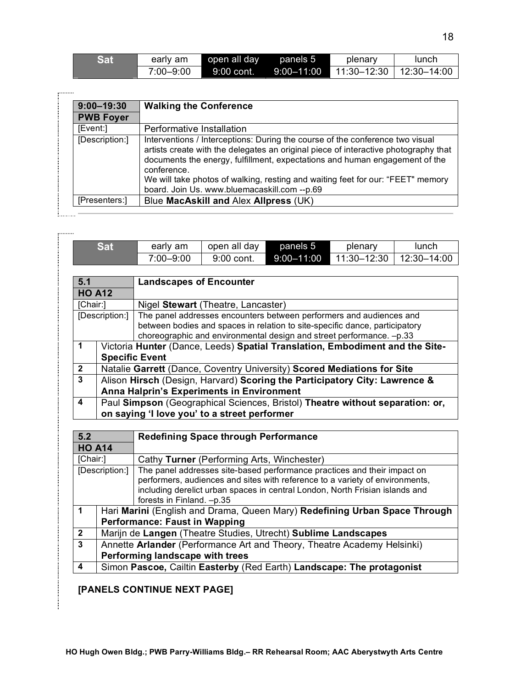| <b>Sat</b> | early am  | open all day | panels 5 | plenary                                  | lunch |
|------------|-----------|--------------|----------|------------------------------------------|-------|
|            | 7:00–9:00 | 9:00 cont.   |          | $9:00-11:00$ $11:30-12:30$ $12:30-14:00$ |       |

| $9:00 - 19:30$   | <b>Walking the Conference</b>                                                                                                                                                                                                                                                                                                                                                                         |
|------------------|-------------------------------------------------------------------------------------------------------------------------------------------------------------------------------------------------------------------------------------------------------------------------------------------------------------------------------------------------------------------------------------------------------|
| <b>PWB Foyer</b> |                                                                                                                                                                                                                                                                                                                                                                                                       |
| [Event:]         | Performative Installation                                                                                                                                                                                                                                                                                                                                                                             |
| [Description:]   | Interventions / Interceptions: During the course of the conference two visual<br>artists create with the delegates an original piece of interactive photography that<br>documents the energy, fulfillment, expectations and human engagement of the<br>conference.<br>We will take photos of walking, resting and waiting feet for our: "FEET" memory<br>board. Join Us. www.bluemacaskill.com --p.69 |
| [Presenters:]    | Blue MacAskill and Alex Allpress (UK)                                                                                                                                                                                                                                                                                                                                                                 |

|                                                                                 | <b>Sat</b>     | early am                                                                      | open all day                                                                                                                                                 | panels 5       | plenary     | lunch       |
|---------------------------------------------------------------------------------|----------------|-------------------------------------------------------------------------------|--------------------------------------------------------------------------------------------------------------------------------------------------------------|----------------|-------------|-------------|
|                                                                                 |                | 7:00-9:00                                                                     | 9:00 cont.                                                                                                                                                   | $9:00 - 11:00$ | 11:30-12:30 | 12:30-14:00 |
|                                                                                 |                |                                                                               |                                                                                                                                                              |                |             |             |
| 5.1                                                                             |                | <b>Landscapes of Encounter</b>                                                |                                                                                                                                                              |                |             |             |
|                                                                                 | <b>HO A12</b>  |                                                                               |                                                                                                                                                              |                |             |             |
| [Chair:]<br>Nigel Stewart (Theatre, Lancaster)                                  |                |                                                                               |                                                                                                                                                              |                |             |             |
|                                                                                 | [Description:] |                                                                               | The panel addresses encounters between performers and audiences and                                                                                          |                |             |             |
|                                                                                 |                |                                                                               | between bodies and spaces in relation to site-specific dance, participatory                                                                                  |                |             |             |
|                                                                                 |                |                                                                               | choreographic and environmental design and street performance. - p.33                                                                                        |                |             |             |
| $\mathbf 1$                                                                     |                | Victoria Hunter (Dance, Leeds) Spatial Translation, Embodiment and the Site-  |                                                                                                                                                              |                |             |             |
|                                                                                 |                | <b>Specific Event</b>                                                         |                                                                                                                                                              |                |             |             |
| $\mathbf{2}$                                                                    |                | Natalie Garrett (Dance, Coventry University) Scored Mediations for Site       |                                                                                                                                                              |                |             |             |
| 3<br>Alison Hirsch (Design, Harvard) Scoring the Participatory City: Lawrence & |                |                                                                               |                                                                                                                                                              |                |             |             |
|                                                                                 |                |                                                                               |                                                                                                                                                              |                |             |             |
|                                                                                 |                | Anna Halprin's Experiments in Environment                                     |                                                                                                                                                              |                |             |             |
| 4                                                                               |                | Paul Simpson (Geographical Sciences, Bristol) Theatre without separation: or, |                                                                                                                                                              |                |             |             |
|                                                                                 |                | on saying 'I love you' to a street performer                                  |                                                                                                                                                              |                |             |             |
|                                                                                 |                |                                                                               |                                                                                                                                                              |                |             |             |
| 5.2                                                                             |                |                                                                               | <b>Redefining Space through Performance</b>                                                                                                                  |                |             |             |
|                                                                                 | <b>HO A14</b>  |                                                                               |                                                                                                                                                              |                |             |             |
| [Chair:]                                                                        |                |                                                                               | Cathy Turner (Performing Arts, Winchester)                                                                                                                   |                |             |             |
|                                                                                 | [Description:] |                                                                               | The panel addresses site-based performance practices and their impact on                                                                                     |                |             |             |
|                                                                                 |                |                                                                               | performers, audiences and sites with reference to a variety of environments,<br>including derelict urban spaces in central London, North Frisian islands and |                |             |             |
|                                                                                 |                | forests in Finland. -p.35                                                     |                                                                                                                                                              |                |             |             |
| 1                                                                               |                | Hari Marini (English and Drama, Queen Mary) Redefining Urban Space Through    |                                                                                                                                                              |                |             |             |
|                                                                                 |                | <b>Performance: Faust in Wapping</b>                                          |                                                                                                                                                              |                |             |             |
| $\mathbf{2}$                                                                    |                | Marijn de Langen (Theatre Studies, Utrecht) Sublime Landscapes                |                                                                                                                                                              |                |             |             |
| 3                                                                               |                | Annette Arlander (Performance Art and Theory, Theatre Academy Helsinki)       |                                                                                                                                                              |                |             |             |
|                                                                                 |                | Performing landscape with trees                                               |                                                                                                                                                              |                |             |             |

**[PANELS CONTINUE NEXT PAGE]**

 $\ldots$ 

ŧ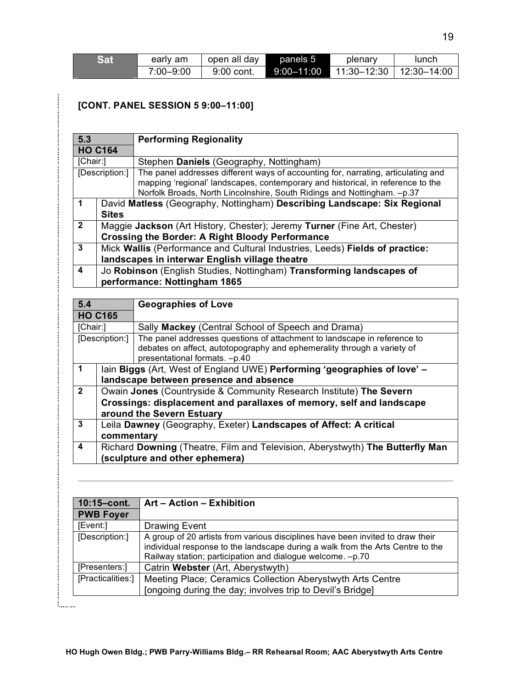| <b>Sat</b> | early am  | open all day | panels 5       | plenary                   | lunch |
|------------|-----------|--------------|----------------|---------------------------|-------|
|            | 7:00-9:00 | 9:00 cont.   | $9:00 - 11:00$ | 11:30–12:30 ∣ 12:30–14:00 |       |

## **[CONT. PANEL SESSION 5 9:00–11:00]**

|                                                        | <b>Performing Regionality</b>                                                     |
|--------------------------------------------------------|-----------------------------------------------------------------------------------|
| <b>HO C164</b>                                         |                                                                                   |
| [Chair:]                                               | Stephen Daniels (Geography, Nottingham)                                           |
| [Description:]                                         | The panel addresses different ways of accounting for, narrating, articulating and |
|                                                        | mapping 'regional' landscapes, contemporary and historical, in reference to the   |
|                                                        | Norfolk Broads, North Lincolnshire, South Ridings and Nottingham. - p.37          |
|                                                        | David Matless (Geography, Nottingham) Describing Landscape: Six Regional          |
| <b>Sites</b>                                           |                                                                                   |
|                                                        | Maggie Jackson (Art History, Chester); Jeremy Turner (Fine Art, Chester)          |
| <b>Crossing the Border: A Right Bloody Performance</b> |                                                                                   |
|                                                        | Mick Wallis (Performance and Cultural Industries, Leeds) Fields of practice:      |
| landscapes in interwar English village theatre         |                                                                                   |
|                                                        | Jo Robinson (English Studies, Nottingham) Transforming landscapes of              |
|                                                        | performance: Nottingham 1865                                                      |
|                                                        |                                                                                   |

| 5.4            | <b>Geographies of Love</b> |                                                                               |  |
|----------------|----------------------------|-------------------------------------------------------------------------------|--|
| <b>HO C165</b> |                            |                                                                               |  |
| [Chair:]       |                            | Sally Mackey (Central School of Speech and Drama)                             |  |
|                | [Description:]             | The panel addresses questions of attachment to landscape in reference to      |  |
|                |                            | debates on affect, autotopography and ephemerality through a variety of       |  |
|                |                            | presentational formats. -p.40                                                 |  |
| $\mathbf 1$    |                            | lain Biggs (Art, West of England UWE) Performing 'geographies of love' -      |  |
|                |                            | landscape between presence and absence                                        |  |
| $\overline{2}$ |                            | Owain Jones (Countryside & Community Research Institute) The Severn           |  |
|                |                            | Crossings: displacement and parallaxes of memory, self and landscape          |  |
|                |                            | around the Severn Estuary                                                     |  |
| 3              |                            | Leila Dawney (Geography, Exeter) Landscapes of Affect: A critical             |  |
|                | commentary                 |                                                                               |  |
| 4              |                            | Richard Downing (Theatre, Film and Television, Aberystwyth) The Butterfly Man |  |
|                |                            | (sculpture and other ephemera)                                                |  |

| 10:15-cont.<br><b>PWB Foyer</b> | Art - Action - Exhibition                                                                                                                                                                                                      |
|---------------------------------|--------------------------------------------------------------------------------------------------------------------------------------------------------------------------------------------------------------------------------|
| [Event:]                        | <b>Drawing Event</b>                                                                                                                                                                                                           |
| [Description:]                  | A group of 20 artists from various disciplines have been invited to draw their<br>individual response to the landscape during a walk from the Arts Centre to the<br>Railway station; participation and dialogue welcome. -p.70 |
| [Presenters:]                   | Catrin Webster (Art, Aberystwyth)                                                                                                                                                                                              |
| [Practicalities:]               | Meeting Place; Ceramics Collection Aberystwyth Arts Centre<br>[ongoing during the day; involves trip to Devil's Bridge]                                                                                                        |

 $\ldots$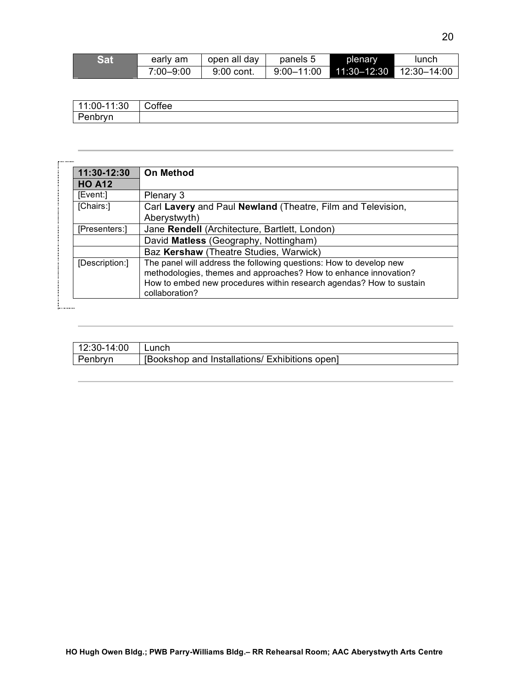| Sat | early am  | open all day | panels 5       | plenary         | lunch           |
|-----|-----------|--------------|----------------|-----------------|-----------------|
|     | 7:00-9:00 | 9:00 cont.   | $9:00 - 11:00$ | $11:30 - 12:30$ | $12:30 - 14:00$ |

| 11:00-11:30 | Coffee |
|-------------|--------|
| Penbryn     |        |

| 11:30-12:30    | <b>On Method</b>                                                    |
|----------------|---------------------------------------------------------------------|
| <b>HO A12</b>  |                                                                     |
| [Event:]       | Plenary 3                                                           |
| [Chairs:]      | Carl Lavery and Paul Newland (Theatre, Film and Television,         |
|                | Aberystwyth)                                                        |
| [Presenters:]  | Jane Rendell (Architecture, Bartlett, London)                       |
|                | David Matless (Geography, Nottingham)                               |
|                | Baz Kershaw (Theatre Studies, Warwick)                              |
| [Description:] | The panel will address the following questions: How to develop new  |
|                | methodologies, themes and approaches? How to enhance innovation?    |
|                | How to embed new procedures within research agendas? How to sustain |
|                | collaboration?                                                      |

ţ

| 12:30-14:00 | Lunch                                          |
|-------------|------------------------------------------------|
| Penbryn     | [Bookshop and Installations/ Exhibitions open] |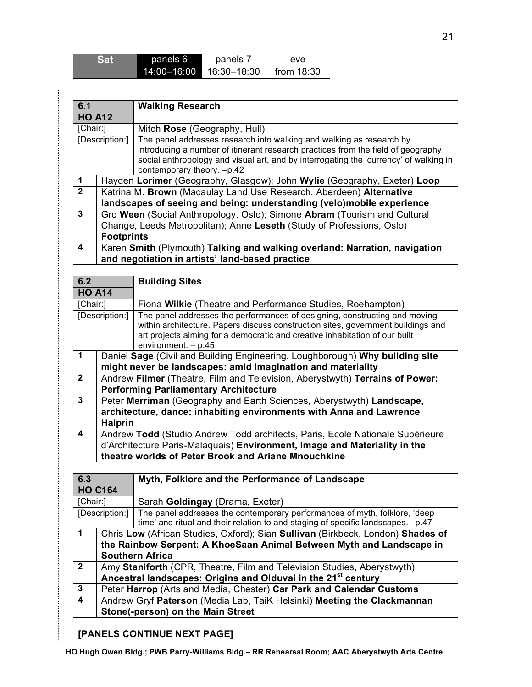| <b>Sat</b> | panels 6    | panels 7    | eve          |
|------------|-------------|-------------|--------------|
|            | 14:00-16:00 | 16:30–18:30 | from $18:30$ |

| 6.1                                                                                    |                                                                                                                                                                        | <b>Walking Research</b>                                                                                                                                                                                  |  |
|----------------------------------------------------------------------------------------|------------------------------------------------------------------------------------------------------------------------------------------------------------------------|----------------------------------------------------------------------------------------------------------------------------------------------------------------------------------------------------------|--|
| <b>HO A12</b>                                                                          |                                                                                                                                                                        |                                                                                                                                                                                                          |  |
| [Chair:]                                                                               |                                                                                                                                                                        | Mitch Rose (Geography, Hull)                                                                                                                                                                             |  |
| The panel addresses research into walking and walking as research by<br>[Description:] |                                                                                                                                                                        | introducing a number of itinerant research practices from the field of geography,<br>social anthropology and visual art, and by interrogating the 'currency' of walking in<br>contemporary theory. -p.42 |  |
| $\blacktriangleleft$                                                                   | Hayden Lorimer (Geography, Glasgow); John Wylie (Geography, Exeter) Loop                                                                                               |                                                                                                                                                                                                          |  |
| $\overline{2}$                                                                         | Katrina M. Brown (Macaulay Land Use Research, Aberdeen) Alternative<br>landscapes of seeing and being: understanding (velo)mobile experience                           |                                                                                                                                                                                                          |  |
| 3                                                                                      | Gro Ween (Social Anthropology, Oslo); Simone Abram (Tourism and Cultural<br>Change, Leeds Metropolitan); Anne Leseth (Study of Professions, Oslo)<br><b>Footprints</b> |                                                                                                                                                                                                          |  |
| 4                                                                                      | Karen Smith (Plymouth) Talking and walking overland: Narration, navigation<br>and negotiation in artists' land-based practice                                          |                                                                                                                                                                                                          |  |

| 6.2                  |                                                                              | <b>Building Sites</b>                                                                                                                                                                                                                                                  |
|----------------------|------------------------------------------------------------------------------|------------------------------------------------------------------------------------------------------------------------------------------------------------------------------------------------------------------------------------------------------------------------|
| <b>HO A14</b>        |                                                                              |                                                                                                                                                                                                                                                                        |
| [Chair:]             |                                                                              | Fiona Wilkie (Theatre and Performance Studies, Roehampton)                                                                                                                                                                                                             |
|                      | [Description:]                                                               | The panel addresses the performances of designing, constructing and moving<br>within architecture. Papers discuss construction sites, government buildings and<br>art projects aiming for a democratic and creative inhabitation of our built<br>environment. $- p.45$ |
| $\blacktriangleleft$ |                                                                              | Daniel Sage (Civil and Building Engineering, Loughborough) Why building site                                                                                                                                                                                           |
|                      |                                                                              | might never be landscapes: amid imagination and materiality                                                                                                                                                                                                            |
| $\overline{2}$       | Andrew Filmer (Theatre, Film and Television, Aberystwyth) Terrains of Power: |                                                                                                                                                                                                                                                                        |
|                      |                                                                              | <b>Performing Parliamentary Architecture</b>                                                                                                                                                                                                                           |
| 3                    |                                                                              | Peter Merriman (Geography and Earth Sciences, Aberystwyth) Landscape,                                                                                                                                                                                                  |
|                      |                                                                              | architecture, dance: inhabiting environments with Anna and Lawrence                                                                                                                                                                                                    |
|                      | <b>Halprin</b>                                                               |                                                                                                                                                                                                                                                                        |
| 4                    |                                                                              | Andrew Todd (Studio Andrew Todd architects, Paris, Ecole Nationale Supérieure                                                                                                                                                                                          |
|                      |                                                                              | d'Architecture Paris-Malaguais) Environment, Image and Materiality in the                                                                                                                                                                                              |
|                      |                                                                              | theatre worlds of Peter Brook and Ariane Mnouchkine                                                                                                                                                                                                                    |

| 6.3                     |                                                                           | Myth, Folklore and the Performance of Landscape                                                                                                                               |  |  |
|-------------------------|---------------------------------------------------------------------------|-------------------------------------------------------------------------------------------------------------------------------------------------------------------------------|--|--|
|                         | <b>HO C164</b>                                                            |                                                                                                                                                                               |  |  |
| [Chair:]                |                                                                           | Sarah Goldingay (Drama, Exeter)                                                                                                                                               |  |  |
|                         |                                                                           | [Description:] The panel addresses the contemporary performances of myth, folklore, 'deep<br>time' and ritual and their relation to and staging of specific landscapes. -p.47 |  |  |
| $\blacktriangleleft$    |                                                                           | Chris Low (African Studies, Oxford); Sian Sullivan (Birkbeck, London) Shades of                                                                                               |  |  |
|                         | the Rainbow Serpent: A KhoeSaan Animal Between Myth and Landscape in      |                                                                                                                                                                               |  |  |
|                         |                                                                           | <b>Southern Africa</b>                                                                                                                                                        |  |  |
| $\overline{2}$          | Amy Staniforth (CPR, Theatre, Film and Television Studies, Aberystwyth)   |                                                                                                                                                                               |  |  |
|                         | Ancestral landscapes: Origins and Olduvai in the 21 <sup>st</sup> century |                                                                                                                                                                               |  |  |
| $\mathbf{3}$            |                                                                           | Peter Harrop (Arts and Media, Chester) Car Park and Calendar Customs                                                                                                          |  |  |
| $\overline{\mathbf{4}}$ |                                                                           | Andrew Gryf Paterson (Media Lab, TaiK Helsinki) Meeting the Clackmannan                                                                                                       |  |  |
|                         |                                                                           | Stone(-person) on the Main Street                                                                                                                                             |  |  |

## **[PANELS CONTINUE NEXT PAGE]**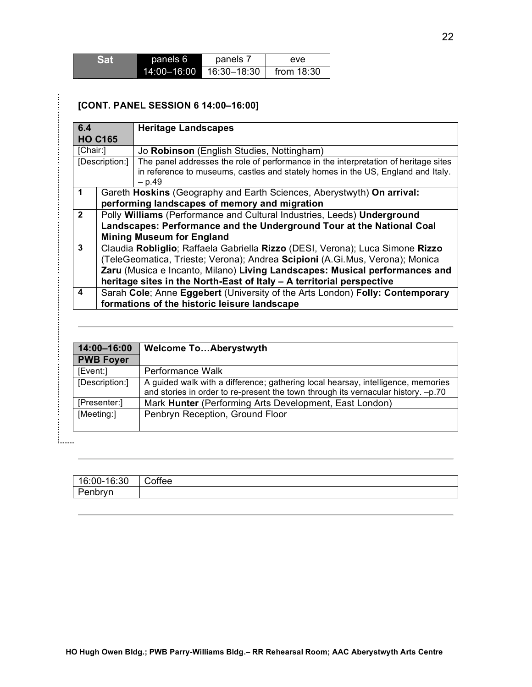| <b>Sat</b> | panels 6    | panels 7    | eve.         |
|------------|-------------|-------------|--------------|
|            | 14:00-16:00 | 16:30-18:30 | from $18:30$ |

#### **[CONT. PANEL SESSION 6 14:00–16:00]**

| 6.4            |                                                                                                                                                                                                                                                                                                                       | <b>Heritage Landscapes</b>                                                                                                                                                          |  |
|----------------|-----------------------------------------------------------------------------------------------------------------------------------------------------------------------------------------------------------------------------------------------------------------------------------------------------------------------|-------------------------------------------------------------------------------------------------------------------------------------------------------------------------------------|--|
|                | <b>HO C165</b>                                                                                                                                                                                                                                                                                                        |                                                                                                                                                                                     |  |
| [Chair:]       |                                                                                                                                                                                                                                                                                                                       | Jo Robinson (English Studies, Nottingham)                                                                                                                                           |  |
| [Description:] |                                                                                                                                                                                                                                                                                                                       | The panel addresses the role of performance in the interpretation of heritage sites<br>in reference to museums, castles and stately homes in the US, England and Italy.<br>$- p.49$ |  |
| $\mathbf 1$    |                                                                                                                                                                                                                                                                                                                       | Gareth Hoskins (Geography and Earth Sciences, Aberystwyth) On arrival:<br>performing landscapes of memory and migration                                                             |  |
| $\overline{2}$ | Polly Williams (Performance and Cultural Industries, Leeds) Underground<br>Landscapes: Performance and the Underground Tour at the National Coal<br><b>Mining Museum for England</b>                                                                                                                                  |                                                                                                                                                                                     |  |
| 3              | Claudia Robliglio; Raffaela Gabriella Rizzo (DESI, Verona); Luca Simone Rizzo<br>(TeleGeomatica, Trieste; Verona); Andrea Scipioni (A.Gi.Mus, Verona); Monica<br>Zaru (Musica e Incanto, Milano) Living Landscapes: Musical performances and<br>heritage sites in the North-East of Italy - A territorial perspective |                                                                                                                                                                                     |  |
| 4              | Sarah Cole; Anne Eggebert (University of the Arts London) Folly: Contemporary<br>formations of the historic leisure landscape                                                                                                                                                                                         |                                                                                                                                                                                     |  |
|                |                                                                                                                                                                                                                                                                                                                       |                                                                                                                                                                                     |  |
|                | 14:00-16:00<br><b>PWB Foyer</b>                                                                                                                                                                                                                                                                                       | <b>Welcome ToAberystwyth</b>                                                                                                                                                        |  |
| [Event:]       |                                                                                                                                                                                                                                                                                                                       | Performance Walk                                                                                                                                                                    |  |
|                | A guided walk with a difference; gathering local hearsay, intelligence, memories<br>[Description:]<br>and stories in order to re-present the town through its vernacular history. -p.70                                                                                                                               |                                                                                                                                                                                     |  |

and stories in order to re-present the town through its vernacular history. –p.70 [Presenter:] Mark **Hunter** (Performing Arts Development, East London) [Meeting:] Penbryn Reception, Ground Floor

. . . . . . .

| 16:00-16:30 | Coffee |
|-------------|--------|
| Penbryn     |        |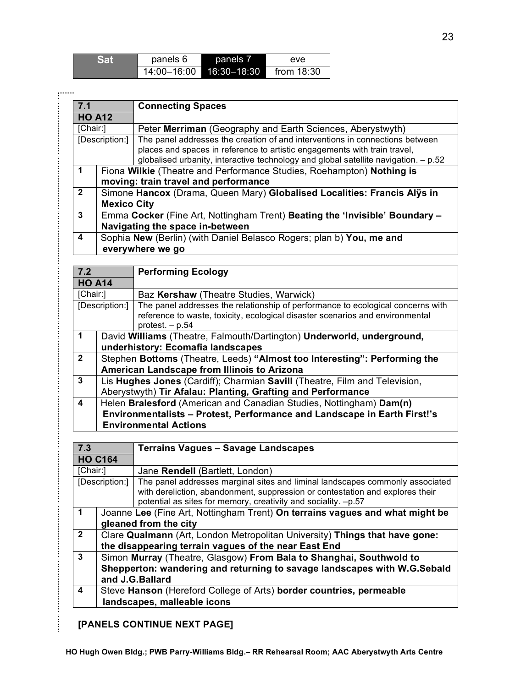| <b>Sat</b> | panels 6    | panels 7        | eve          |
|------------|-------------|-----------------|--------------|
|            | 14:00-16:00 | $16:30 - 18:30$ | from $18:30$ |

ستستر

| 7.1                  |                                                                                                                                                                                                                                                                      | <b>Connecting Spaces</b>                                                    |  |
|----------------------|----------------------------------------------------------------------------------------------------------------------------------------------------------------------------------------------------------------------------------------------------------------------|-----------------------------------------------------------------------------|--|
| <b>HO A12</b>        |                                                                                                                                                                                                                                                                      |                                                                             |  |
|                      | [Chair:]<br>Peter Merriman (Geography and Earth Sciences, Aberystwyth)                                                                                                                                                                                               |                                                                             |  |
|                      | The panel addresses the creation of and interventions in connections between<br>[Description:]<br>places and spaces in reference to artistic engagements with train travel,<br>globalised urbanity, interactive technology and global satellite navigation. $- p.52$ |                                                                             |  |
| $\blacktriangleleft$ | Fiona Wilkie (Theatre and Performance Studies, Roehampton) Nothing is                                                                                                                                                                                                |                                                                             |  |
|                      | moving: train travel and performance                                                                                                                                                                                                                                 |                                                                             |  |
| $\overline{2}$       | Simone Hancox (Drama, Queen Mary) Globalised Localities: Francis Alys in                                                                                                                                                                                             |                                                                             |  |
|                      | <b>Mexico City</b>                                                                                                                                                                                                                                                   |                                                                             |  |
| 3                    |                                                                                                                                                                                                                                                                      | Emma Cocker (Fine Art, Nottingham Trent) Beating the 'Invisible' Boundary - |  |
|                      | Navigating the space in-between                                                                                                                                                                                                                                      |                                                                             |  |
| 4                    | Sophia New (Berlin) (with Daniel Belasco Rogers; plan b) You, me and                                                                                                                                                                                                 |                                                                             |  |
|                      |                                                                                                                                                                                                                                                                      | everywhere we go                                                            |  |

| 7.2            |                                                                                                                                                                                        | <b>Performing Ecology</b>                                                                                                                                                             |  |
|----------------|----------------------------------------------------------------------------------------------------------------------------------------------------------------------------------------|---------------------------------------------------------------------------------------------------------------------------------------------------------------------------------------|--|
| <b>HO A14</b>  |                                                                                                                                                                                        |                                                                                                                                                                                       |  |
| [Chair:]       |                                                                                                                                                                                        | Baz Kershaw (Theatre Studies, Warwick)                                                                                                                                                |  |
| [Description:] |                                                                                                                                                                                        | The panel addresses the relationship of performance to ecological concerns with<br>reference to waste, toxicity, ecological disaster scenarios and environmental<br>protest. $- p.54$ |  |
| $\mathbf 1$    | David Williams (Theatre, Falmouth/Dartington) Underworld, underground,<br>underhistory: Ecomafia landscapes                                                                            |                                                                                                                                                                                       |  |
| $\overline{2}$ | Stephen Bottoms (Theatre, Leeds) "Almost too Interesting": Performing the<br>American Landscape from Illinois to Arizona                                                               |                                                                                                                                                                                       |  |
| 3              |                                                                                                                                                                                        | Lis Hughes Jones (Cardiff); Charmian Savill (Theatre, Film and Television,<br>Aberystwyth) Tir Afalau: Planting, Grafting and Performance                                             |  |
| 4              | Helen Bralesford (American and Canadian Studies, Nottingham) Dam(n)<br><b>Environmentalists - Protest, Performance and Landscape in Earth First!'s</b><br><b>Environmental Actions</b> |                                                                                                                                                                                       |  |

| 7.3            |                                                                             | <b>Terrains Vagues - Savage Landscapes</b>                                                                                                                                                                                       |  |
|----------------|-----------------------------------------------------------------------------|----------------------------------------------------------------------------------------------------------------------------------------------------------------------------------------------------------------------------------|--|
| <b>HO C164</b> |                                                                             |                                                                                                                                                                                                                                  |  |
| [Chair:]       |                                                                             | Jane Rendell (Bartlett, London)                                                                                                                                                                                                  |  |
| [Description:] |                                                                             | The panel addresses marginal sites and liminal landscapes commonly associated<br>with dereliction, abandonment, suppression or contestation and explores their<br>potential as sites for memory, creativity and sociality. -p.57 |  |
| 1              |                                                                             | Joanne Lee (Fine Art, Nottingham Trent) On terrains vagues and what might be                                                                                                                                                     |  |
|                | gleaned from the city                                                       |                                                                                                                                                                                                                                  |  |
| $\mathbf{2}$   | Clare Qualmann (Art, London Metropolitan University) Things that have gone: |                                                                                                                                                                                                                                  |  |
|                | the disappearing terrain vagues of the near East End                        |                                                                                                                                                                                                                                  |  |
| 3              |                                                                             | Simon Murray (Theatre, Glasgow) From Bala to Shanghai, Southwold to                                                                                                                                                              |  |
|                | Shepperton: wandering and returning to savage landscapes with W.G.Sebald    |                                                                                                                                                                                                                                  |  |
|                | and J.G. Ballard                                                            |                                                                                                                                                                                                                                  |  |
| 4              | Steve Hanson (Hereford College of Arts) border countries, permeable         |                                                                                                                                                                                                                                  |  |
|                |                                                                             | landscapes, malleable icons                                                                                                                                                                                                      |  |

## **[PANELS CONTINUE NEXT PAGE]**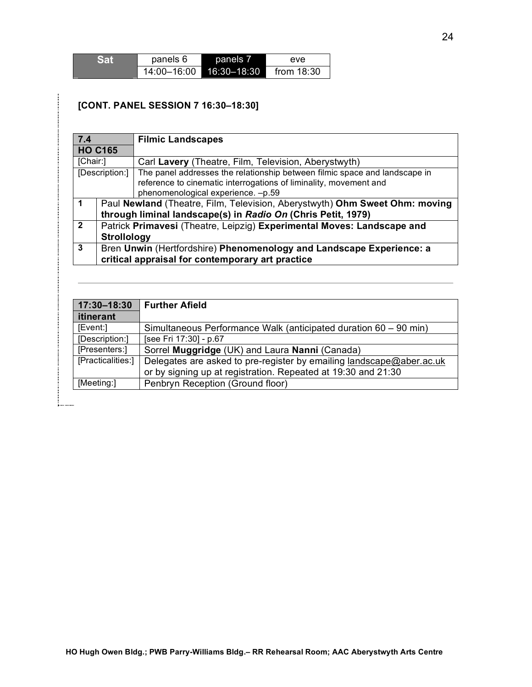| <b>Sat</b> | panels 6    | panels 7        | eve          |
|------------|-------------|-----------------|--------------|
|            | 14:00-16:00 | $16:30 - 18:30$ | from $18:30$ |

### **[CONT. PANEL SESSION 7 16:30–18:30]**

1. . . . . . . .

| 7.4            | <b>Filmic Landscapes</b>                                                    |                                                                            |  |
|----------------|-----------------------------------------------------------------------------|----------------------------------------------------------------------------|--|
|                | <b>HO C165</b>                                                              |                                                                            |  |
| [Chair:]       |                                                                             | Carl Lavery (Theatre, Film, Television, Aberystwyth)                       |  |
|                | [Description:]                                                              | The panel addresses the relationship between filmic space and landscape in |  |
|                |                                                                             | reference to cinematic interrogations of liminality, movement and          |  |
|                |                                                                             | phenomenological experience. -p.59                                         |  |
|                | Paul Newland (Theatre, Film, Television, Aberystwyth) Ohm Sweet Ohm: moving |                                                                            |  |
|                | through liminal landscape(s) in Radio On (Chris Petit, 1979)                |                                                                            |  |
| $\overline{2}$ |                                                                             | Patrick Primavesi (Theatre, Leipzig) Experimental Moves: Landscape and     |  |
|                | <b>Strollology</b>                                                          |                                                                            |  |
| 3              | Bren Unwin (Hertfordshire) Phenomenology and Landscape Experience: a        |                                                                            |  |
|                |                                                                             | critical appraisal for contemporary art practice                           |  |

| 17:30-18:30       | <b>Further Afield</b>                                                |
|-------------------|----------------------------------------------------------------------|
| <i>itinerant</i>  |                                                                      |
| [Event:]          | Simultaneous Performance Walk (anticipated duration 60 – 90 min)     |
| [Description:]    | [see Fri 17:30] - p.67                                               |
| [Presenters:]     | Sorrel Muggridge (UK) and Laura Nanni (Canada)                       |
| [Practicalities:] | Delegates are asked to pre-register by emailing landscape@aber.ac.uk |
|                   | or by signing up at registration. Repeated at 19:30 and 21:30        |
| [Meeting:]        | Penbryn Reception (Ground floor)                                     |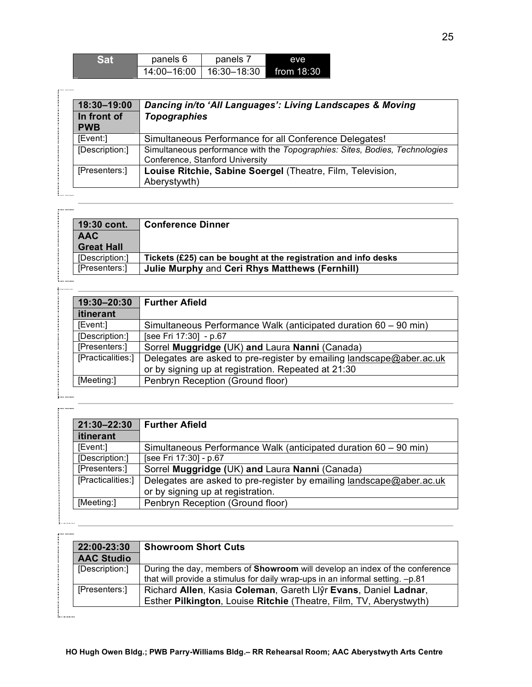| Sat | panels 6    | panels 7    | eve          |
|-----|-------------|-------------|--------------|
|     | 14:00-16:00 | 16:30–18:30 | from $18:30$ |

| 18:30-19:00<br>In front of<br><b>PWB</b> | Dancing in/to 'All Languages': Living Landscapes & Moving<br><b>Topographies</b>                               |  |
|------------------------------------------|----------------------------------------------------------------------------------------------------------------|--|
| [Event:]                                 | Simultaneous Performance for all Conference Delegates!                                                         |  |
| [Description:]                           | Simultaneous performance with the Topographies: Sites, Bodies, Technologies<br>Conference, Stanford University |  |
| [Presenters:]                            | Louise Ritchie, Sabine Soergel (Theatre, Film, Television,<br>Aberystywth)                                     |  |

| 19:30 cont.       | <b>Conference Dinner</b>                                       |
|-------------------|----------------------------------------------------------------|
| <b>AAC</b>        |                                                                |
| <b>Great Hall</b> |                                                                |
| [Description:]    | Tickets (£25) can be bought at the registration and info desks |
| [Presenters:]     | Julie Murphy and Ceri Rhys Matthews (Fernhill)                 |

| 19:30-20:30       | <b>Further Afield</b>                                                                                                       |
|-------------------|-----------------------------------------------------------------------------------------------------------------------------|
| itinerant         |                                                                                                                             |
| [Event:]          | Simultaneous Performance Walk (anticipated duration 60 – 90 min)                                                            |
| [Description:]    | [see Fri 17:30] - p.67                                                                                                      |
| [Presenters:]     | Sorrel Muggridge (UK) and Laura Nanni (Canada)                                                                              |
| [Practicalities:] | Delegates are asked to pre-register by emailing landscape@aber.ac.uk<br>or by signing up at registration. Repeated at 21:30 |
| [Meeting:]        | Penbryn Reception (Ground floor)                                                                                            |

. . . . . . . . . . . . . . . . .

5. . . . . . . . .

5. . . . . . . . .

. . . . . . . . . .

| 21:30-22:30       | <b>Further Afield</b>                                                                                     |
|-------------------|-----------------------------------------------------------------------------------------------------------|
| <b>itinerant</b>  |                                                                                                           |
| [Event:]          | Simultaneous Performance Walk (anticipated duration 60 – 90 min)                                          |
| [Description:]    | [see Fri 17:30] - p.67                                                                                    |
| [Presenters:]     | Sorrel Muggridge (UK) and Laura Nanni (Canada)                                                            |
| [Practicalities:] | Delegates are asked to pre-register by emailing landscape@aber.ac.uk<br>or by signing up at registration. |
| [Meeting:]        | Penbryn Reception (Ground floor)                                                                          |

**22:00-23:30 Showroom Short Cuts AAC Studio** [Description:] During the day, members of **Showroom** will develop an index of the conference that will provide a stimulus for daily wrap-ups in an informal setting. –p.81 [Presenters:] Richard **Allen**, Kasia **Coleman**, Gareth Llŷr **Evans**, Daniel **Ladnar**, Esther **Pilkington**, Louise **Ritchie** (Theatre, Film, TV, Aberystwyth)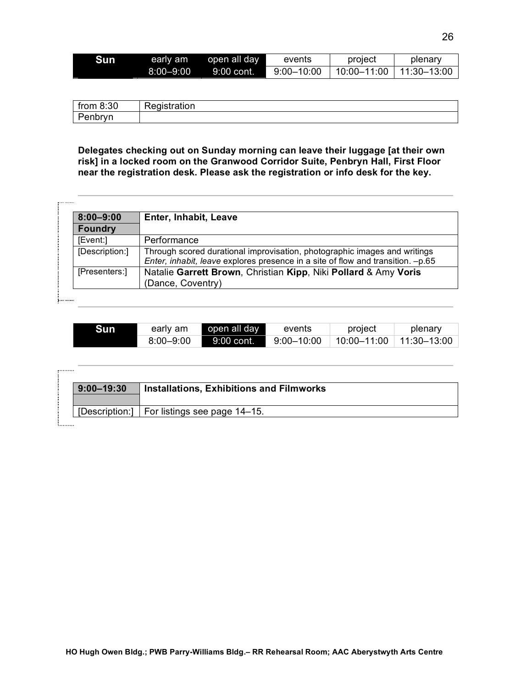| Sun | early am      | open all day | events         | project         | plenary         |
|-----|---------------|--------------|----------------|-----------------|-----------------|
|     | $8:00 - 9:00$ | $9:00$ cont. | $9:00 - 10:00$ | $10:00 - 11:00$ | $11:30 - 13:00$ |

| from $8:30$ | Registration |
|-------------|--------------|
| Penbryn     |              |

**Delegates checking out on Sunday morning can leave their luggage [at their own risk] in a locked room on the Granwood Corridor Suite, Penbryn Hall, First Floor near the registration desk. Please ask the registration or info desk for the key.**

| $8:00 - 9:00$  | Enter, Inhabit, Leave                                                                                                                                        |
|----------------|--------------------------------------------------------------------------------------------------------------------------------------------------------------|
| <b>Foundry</b> |                                                                                                                                                              |
| [Event:]       | Performance                                                                                                                                                  |
| [Description:] | Through scored durational improvisation, photographic images and writings<br>Enter, inhabit, leave explores presence in a site of flow and transition. -p.65 |
| [Presenters:]  | Natalie Garrett Brown, Christian Kipp, Niki Pollard & Amy Voris<br>(Dance, Coventry)                                                                         |

| Sun | early am      | open all day              | events         | project        | plenary         |
|-----|---------------|---------------------------|----------------|----------------|-----------------|
|     | $8:00 - 9:00$ | $\blacksquare$ 9:00 cont. | $9:00 - 10:00$ | $-10:00-11:00$ | $11.30 - 13.00$ |

| $9:00 - 19:30$ | <b>Installations, Exhibitions and Filmworks</b> |
|----------------|-------------------------------------------------|
|                | [Description:]   For listings see page 14–15.   |

 $r^{1}$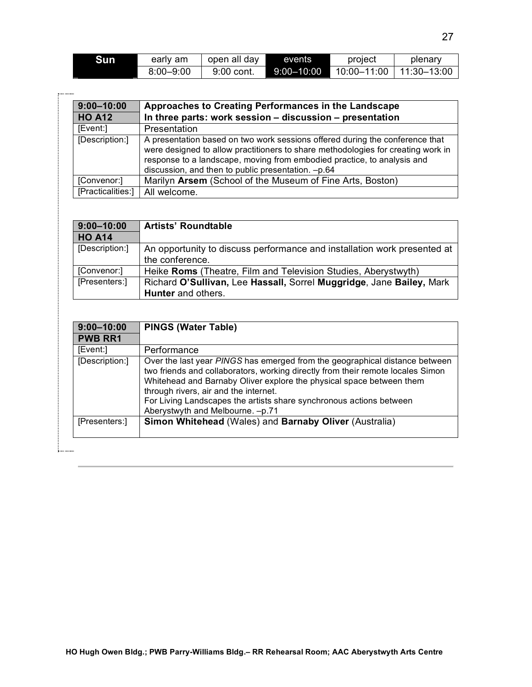| Sun | early am      | open all day | events         | project         | plenarv         |
|-----|---------------|--------------|----------------|-----------------|-----------------|
|     | $8:00 - 9:00$ | 9:00 cont.   | $9:00 - 10:00$ | $10:00 - 11:00$ | $11.30 - 13.00$ |

| $9:00 - 10:00$    | Approaches to Creating Performances in the Landscape                                                                                                                                                                                                                                              |
|-------------------|---------------------------------------------------------------------------------------------------------------------------------------------------------------------------------------------------------------------------------------------------------------------------------------------------|
| <b>HO A12</b>     | In three parts: work session - discussion - presentation                                                                                                                                                                                                                                          |
| [Event:]          | Presentation                                                                                                                                                                                                                                                                                      |
| [Description:]    | A presentation based on two work sessions offered during the conference that<br>were designed to allow practitioners to share methodologies for creating work in<br>response to a landscape, moving from embodied practice, to analysis and<br>discussion, and then to public presentation. -p.64 |
| [Convenor:]       | Marilyn Arsem (School of the Museum of Fine Arts, Boston)                                                                                                                                                                                                                                         |
| [Practicalities:] | All welcome.                                                                                                                                                                                                                                                                                      |

| $9:00 - 10:00$ | <b>Artists' Roundtable</b>                                               |
|----------------|--------------------------------------------------------------------------|
| <b>HO A14</b>  |                                                                          |
| [Description:] | An opportunity to discuss performance and installation work presented at |
|                | the conference.                                                          |
| [Convenor:]    | Heike Roms (Theatre, Film and Television Studies, Aberystwyth)           |
| [Presenters:]  | Richard O'Sullivan, Lee Hassall, Sorrel Muggridge, Jane Bailey, Mark     |
|                | Hunter and others.                                                       |

| $9:00 - 10:00$ | <b>PINGS (Water Table)</b>                                                                                                                                                                                                                                                                                                                                                                 |
|----------------|--------------------------------------------------------------------------------------------------------------------------------------------------------------------------------------------------------------------------------------------------------------------------------------------------------------------------------------------------------------------------------------------|
| <b>PWB RR1</b> |                                                                                                                                                                                                                                                                                                                                                                                            |
| [Event:]       | Performance                                                                                                                                                                                                                                                                                                                                                                                |
| [Description:] | Over the last year PINGS has emerged from the geographical distance between<br>two friends and collaborators, working directly from their remote locales Simon<br>Whitehead and Barnaby Oliver explore the physical space between them<br>through rivers, air and the internet.<br>For Living Landscapes the artists share synchronous actions between<br>Aberystwyth and Melbourne. -p.71 |
| [Presenters:]  | Simon Whitehead (Wales) and Barnaby Oliver (Australia)                                                                                                                                                                                                                                                                                                                                     |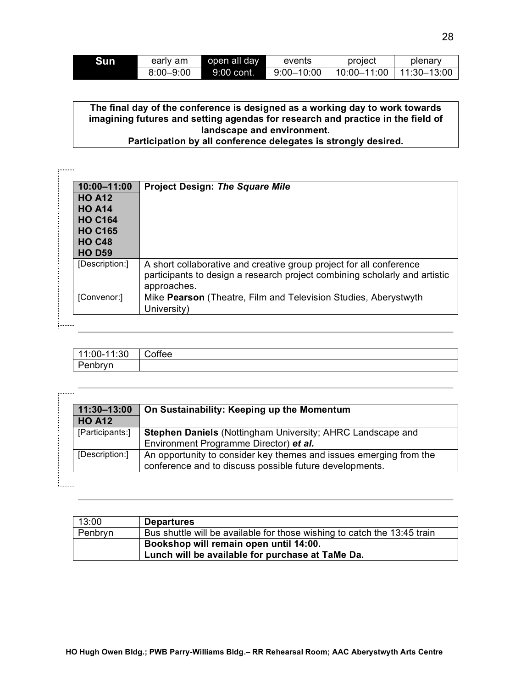| Sun | early am      | open all day | events         | project     | plenary     |
|-----|---------------|--------------|----------------|-------------|-------------|
|     | $8:00 - 9:00$ | ⊦9:00 cont.  | $9:00 - 10:00$ | 10:00–11:00 | 11:30–13:00 |

### **The final day of the conference is designed as a working day to work towards imagining futures and setting agendas for research and practice in the field of landscape and environment.**

**Participation by all conference delegates is strongly desired.**

 $\cdots$ 

. . . . . . . .

**U.L.L.** 

| 10:00-11:00    | <b>Project Design: The Square Mile</b>                                                                                                                           |
|----------------|------------------------------------------------------------------------------------------------------------------------------------------------------------------|
| <b>HO A12</b>  |                                                                                                                                                                  |
| <b>HO A14</b>  |                                                                                                                                                                  |
| <b>HO C164</b> |                                                                                                                                                                  |
| <b>HO C165</b> |                                                                                                                                                                  |
| <b>HO C48</b>  |                                                                                                                                                                  |
| <b>HO D59</b>  |                                                                                                                                                                  |
| [Description:] | A short collaborative and creative group project for all conference<br>participants to design a research project combining scholarly and artistic<br>approaches. |
| [Convenor:]    | Mike Pearson (Theatre, Film and Television Studies, Aberystwyth<br>University)                                                                                   |

| 11:00-11:30 | Coffee |
|-------------|--------|
| Penbryn     |        |

| 11:30-13:00     | On Sustainability: Keeping up the Momentum                         |
|-----------------|--------------------------------------------------------------------|
| <b>HO A12</b>   |                                                                    |
| [Participants:] | Stephen Daniels (Nottingham University; AHRC Landscape and         |
|                 | Environment Programme Director) et al.                             |
| [Description:]  | An opportunity to consider key themes and issues emerging from the |
|                 | conference and to discuss possible future developments.            |

| 13:00   | <b>Departures</b>                                                        |
|---------|--------------------------------------------------------------------------|
| Penbryn | Bus shuttle will be available for those wishing to catch the 13:45 train |
|         | Bookshop will remain open until 14:00.                                   |
|         | Lunch will be available for purchase at TaMe Da.                         |